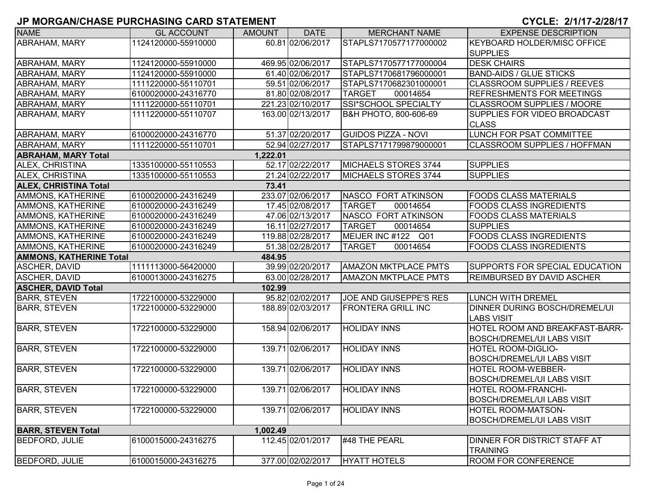| <b>NAME</b>                    | <b>GL ACCOUNT</b>   | <b>AMOUNT</b> | <b>DATE</b>       | <b>MERCHANT NAME</b>        | <b>EXPENSE DESCRIPTION</b>                                |
|--------------------------------|---------------------|---------------|-------------------|-----------------------------|-----------------------------------------------------------|
| <b>ABRAHAM, MARY</b>           | 1124120000-55910000 |               | 60.81 02/06/2017  | STAPLS7170577177000002      | <b>KEYBOARD HOLDER/MISC OFFICE</b>                        |
|                                |                     |               |                   |                             | <b>SUPPLIES</b>                                           |
| ABRAHAM, MARY                  | 1124120000-55910000 |               | 469.95 02/06/2017 | STAPLS7170577177000004      | <b>DESK CHAIRS</b>                                        |
| <b>ABRAHAM, MARY</b>           | 1124120000-55910000 |               | 61.40 02/06/2017  | STAPLS7170681796000001      | <b>BAND-AIDS / GLUE STICKS</b>                            |
| ABRAHAM, MARY                  | 1111220000-55110701 |               | 59.51 02/06/2017  | STAPLS7170682301000001      | <b>CLASSROOM SUPPLIES / REEVES</b>                        |
| ABRAHAM, MARY                  | 6100020000-24316770 |               | 81.80 02/08/2017  | <b>TARGET</b><br>00014654   | <b>REFRESHMENTS FOR MEETINGS</b>                          |
| <b>ABRAHAM, MARY</b>           | 1111220000-55110701 |               | 221.23 02/10/2017 | SSI*SCHOOL SPECIALTY        | <b>CLASSROOM SUPPLIES / MOORE</b>                         |
| ABRAHAM, MARY                  | 1111220000-55110707 |               | 163.00 02/13/2017 | В&Н РНОТО, 800-606-69       | SUPPLIES FOR VIDEO BROADCAST<br><b>CLASS</b>              |
| ABRAHAM, MARY                  | 6100020000-24316770 |               | 51.37 02/20/2017  | <b>GUIDOS PIZZA - NOVI</b>  | LUNCH FOR PSAT COMMITTEE                                  |
| ABRAHAM, MARY                  | 1111220000-55110701 |               | 52.94 02/27/2017  | STAPLS7171799879000001      | <b>CLASSROOM SUPPLIES / HOFFMAN</b>                       |
| <b>ABRAHAM, MARY Total</b>     |                     | 1,222.01      |                   |                             |                                                           |
| <b>ALEX, CHRISTINA</b>         | 1335100000-55110553 |               | 52.17 02/22/2017  | MICHAELS STORES 3744        | <b>SUPPLIES</b>                                           |
| ALEX, CHRISTINA                | 1335100000-55110553 |               | 21.24 02/22/2017  | MICHAELS STORES 3744        | <b>SUPPLIES</b>                                           |
| <b>ALEX, CHRISTINA Total</b>   |                     | 73.41         |                   |                             |                                                           |
| AMMONS, KATHERINE              | 6100020000-24316249 |               | 233.07 02/06/2017 | NASCO FORT ATKINSON         | <b>FOODS CLASS MATERIALS</b>                              |
| AMMONS, KATHERINE              | 6100020000-24316249 |               | 17.45 02/08/2017  | <b>TARGET</b><br>00014654   | <b>FOODS CLASS INGREDIENTS</b>                            |
| AMMONS, KATHERINE              | 6100020000-24316249 |               | 47.06 02/13/2017  | NASCO FORT ATKINSON         | <b>FOODS CLASS MATERIALS</b>                              |
| AMMONS, KATHERINE              | 6100020000-24316249 |               | 16.11 02/27/2017  | <b>TARGET</b><br>00014654   | <b>SUPPLIES</b>                                           |
| AMMONS, KATHERINE              | 6100020000-24316249 |               | 119.88 02/28/2017 | MEIJER INC #122<br>Q01      | <b>FOODS CLASS INGREDIENTS</b>                            |
| AMMONS, KATHERINE              | 6100020000-24316249 |               | 51.38 02/28/2017  | 00014654<br><b>TARGET</b>   | <b>FOODS CLASS INGREDIENTS</b>                            |
| <b>AMMONS, KATHERINE Total</b> |                     | 484.95        |                   |                             |                                                           |
| <b>ASCHER, DAVID</b>           | 1111113000-56420000 |               | 39.99 02/20/2017  | <b>AMAZON MKTPLACE PMTS</b> | SUPPORTS FOR SPECIAL EDUCATION                            |
| <b>ASCHER, DAVID</b>           | 6100013000-24316275 |               | 63.00 02/28/2017  | <b>AMAZON MKTPLACE PMTS</b> | <b>REIMBURSED BY DAVID ASCHER</b>                         |
| <b>ASCHER, DAVID Total</b>     |                     | 102.99        |                   |                             |                                                           |
| <b>BARR, STEVEN</b>            | 1722100000-53229000 |               | 95.82 02/02/2017  | JOE AND GIUSEPPE'S RES      | <b>LUNCH WITH DREMEL</b>                                  |
| <b>BARR, STEVEN</b>            | 1722100000-53229000 |               | 188.89 02/03/2017 | <b>FRONTERA GRILL INC</b>   | <b>DINNER DURING BOSCH/DREMEL/UI</b><br><b>LABS VISIT</b> |
| <b>BARR, STEVEN</b>            | 1722100000-53229000 |               | 158.94 02/06/2017 | <b>HOLIDAY INNS</b>         | HOTEL ROOM AND BREAKFAST-BARR-                            |
|                                |                     |               |                   |                             | <b>BOSCH/DREMEL/UI LABS VISIT</b>                         |
| <b>BARR, STEVEN</b>            | 1722100000-53229000 |               | 139.71 02/06/2017 | <b>HOLIDAY INNS</b>         | <b>HOTEL ROOM-DIGLIO-</b>                                 |
|                                |                     |               |                   |                             | <b>BOSCH/DREMEL/UI LABS VISIT</b>                         |
| <b>BARR, STEVEN</b>            | 1722100000-53229000 |               | 139.71 02/06/2017 | <b>HOLIDAY INNS</b>         | <b>HOTEL ROOM-WEBBER-</b>                                 |
|                                |                     |               |                   |                             | <b>BOSCH/DREMEL/UI LABS VISIT</b>                         |
| <b>BARR, STEVEN</b>            | 1722100000-53229000 |               | 139.71 02/06/2017 | <b>HOLIDAY INNS</b>         | <b>HOTEL ROOM-FRANCHI-</b>                                |
|                                |                     |               |                   |                             | <b>BOSCH/DREMEL/UI LABS VISIT</b>                         |
| <b>BARR, STEVEN</b>            | 1722100000-53229000 |               | 139.71 02/06/2017 | <b>HOLIDAY INNS</b>         | <b>HOTEL ROOM-MATSON-</b>                                 |
|                                |                     |               |                   |                             | <b>BOSCH/DREMEL/UI LABS VISIT</b>                         |
| <b>BARR, STEVEN Total</b>      |                     | 1,002.49      |                   |                             |                                                           |
| <b>BEDFORD, JULIE</b>          | 6100015000-24316275 |               | 112.45 02/01/2017 | #48 THE PEARL               | <b>DINNER FOR DISTRICT STAFF AT</b>                       |
|                                |                     |               |                   |                             | <b>TRAINING</b>                                           |
| <b>BEDFORD, JULIE</b>          | 6100015000-24316275 |               | 377.00 02/02/2017 | <b>HYATT HOTELS</b>         | <b>ROOM FOR CONFERENCE</b>                                |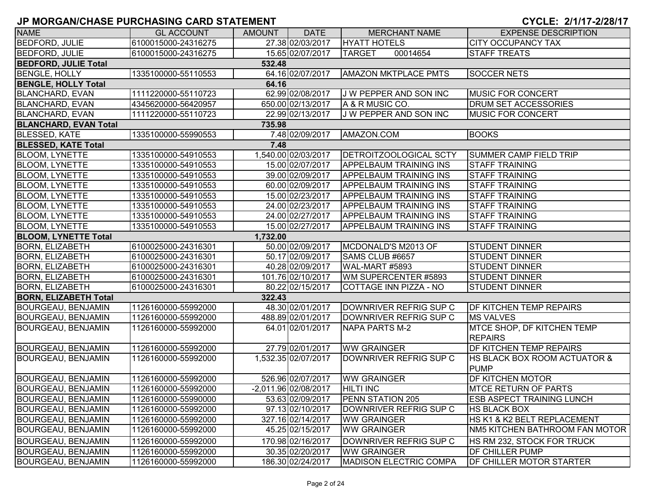| <b>NAME</b>                  | <b>GL ACCOUNT</b>   | <b>AMOUNT</b> | <b>DATE</b>          | <b>MERCHANT NAME</b>                                 | <b>EXPENSE DESCRIPTION</b>                  |
|------------------------------|---------------------|---------------|----------------------|------------------------------------------------------|---------------------------------------------|
| BEDFORD, JULIE               | 6100015000-24316275 |               | 27.38 02/03/2017     | <b>HYATT HOTELS</b>                                  | <b>CITY OCCUPANCY TAX</b>                   |
| <b>BEDFORD, JULIE</b>        | 6100015000-24316275 |               | 15.65 02/07/2017     | 00014654<br><b>TARGET</b>                            | <b>STAFF TREATS</b>                         |
| <b>BEDFORD, JULIE Total</b>  |                     | 532.48        |                      |                                                      |                                             |
| <b>BENGLE, HOLLY</b>         | 1335100000-55110553 |               | 64.16 02/07/2017     | <b>AMAZON MKTPLACE PMTS</b>                          | <b>SOCCER NETS</b>                          |
| <b>BENGLE, HOLLY Total</b>   |                     | 64.16         |                      |                                                      |                                             |
| <b>BLANCHARD, EVAN</b>       | 1111220000-55110723 |               | 62.99 02/08/2017     | J W PEPPER AND SON INC                               | <b>MUSIC FOR CONCERT</b>                    |
| <b>BLANCHARD, EVAN</b>       | 4345620000-56420957 |               | 650.00 02/13/2017    | A & R MUSIC CO.                                      | DRUM SET ACCESSORIES                        |
| <b>BLANCHARD, EVAN</b>       | 1111220000-55110723 |               | 22.99 02/13/2017     | J W PEPPER AND SON INC                               | <b>MUSIC FOR CONCERT</b>                    |
| <b>BLANCHARD, EVAN Total</b> |                     | 735.98        |                      |                                                      |                                             |
| <b>BLESSED, KATE</b>         | 1335100000-55990553 |               | 7.48 02/09/2017      | AMAZON.COM                                           | <b>BOOKS</b>                                |
| <b>BLESSED, KATE Total</b>   |                     | 7.48          |                      |                                                      |                                             |
| <b>BLOOM, LYNETTE</b>        | 1335100000-54910553 |               | 1,540.00 02/03/2017  | DETROITZOOLOGICAL SCTY                               | SUMMER CAMP FIELD TRIP                      |
| <b>BLOOM, LYNETTE</b>        | 1335100000-54910553 |               | 15.00 02/07/2017     | <b>APPELBAUM TRAINING INS</b>                        | <b>STAFF TRAINING</b>                       |
| <b>BLOOM, LYNETTE</b>        | 1335100000-54910553 |               | 39.00 02/09/2017     | <b>APPELBAUM TRAINING INS</b>                        | <b>STAFF TRAINING</b>                       |
| <b>BLOOM, LYNETTE</b>        | 1335100000-54910553 |               | 60.00 02/09/2017     | <b>APPELBAUM TRAINING INS</b>                        | <b>STAFF TRAINING</b>                       |
| <b>BLOOM, LYNETTE</b>        | 1335100000-54910553 |               | 15.00 02/23/2017     | <b>APPELBAUM TRAINING INS</b>                        | <b>STAFF TRAINING</b>                       |
| <b>BLOOM, LYNETTE</b>        | 1335100000-54910553 |               | 24.00 02/23/2017     | <b>APPELBAUM TRAINING INS</b>                        | <b>STAFF TRAINING</b>                       |
| <b>BLOOM, LYNETTE</b>        | 1335100000-54910553 |               | 24.00 02/27/2017     | <b>APPELBAUM TRAINING INS</b>                        | <b>STAFF TRAINING</b>                       |
| <b>BLOOM, LYNETTE</b>        | 1335100000-54910553 |               | 15.00 02/27/2017     | <b>APPELBAUM TRAINING INS</b>                        | <b>STAFF TRAINING</b>                       |
| <b>BLOOM, LYNETTE Total</b>  |                     | 1,732.00      |                      |                                                      |                                             |
| <b>BORN, ELIZABETH</b>       | 6100025000-24316301 |               | 50.00 02/09/2017     | MCDONALD'S M2013 OF                                  | <b>STUDENT DINNER</b>                       |
| <b>BORN, ELIZABETH</b>       | 6100025000-24316301 |               | 50.17 02/09/2017     | SAMS CLUB #6657                                      | <b>STUDENT DINNER</b>                       |
| <b>BORN, ELIZABETH</b>       | 6100025000-24316301 |               | 40.28 02/09/2017     | WAL-MART #5893                                       | <b>STUDENT DINNER</b>                       |
| <b>BORN, ELIZABETH</b>       | 6100025000-24316301 |               | 101.76 02/10/2017    | WM SUPERCENTER #5893                                 | <b>STUDENT DINNER</b>                       |
| <b>BORN, ELIZABETH</b>       | 6100025000-24316301 |               | 80.22 02/15/2017     | COTTAGE INN PIZZA - NO                               | <b>STUDENT DINNER</b>                       |
| <b>BORN, ELIZABETH Total</b> |                     | 322.43        |                      |                                                      |                                             |
| <b>BOURGEAU, BENJAMIN</b>    | 1126160000-55992000 |               | 48.30 02/01/2017     | DOWNRIVER REFRIG SUP C                               | <b>DF KITCHEN TEMP REPAIRS</b>              |
| <b>BOURGEAU, BENJAMIN</b>    | 1126160000-55992000 |               | 488.89 02/01/2017    | DOWNRIVER REFRIG SUP C                               | <b>MS VALVES</b>                            |
| <b>BOURGEAU, BENJAMIN</b>    | 1126160000-55992000 |               | 64.01 02/01/2017     | NAPA PARTS M-2                                       | MTCE SHOP, DF KITCHEN TEMP                  |
|                              |                     |               | 27.79 02/01/2017     |                                                      | <b>REPAIRS</b><br>DF KITCHEN TEMP REPAIRS   |
| <b>BOURGEAU, BENJAMIN</b>    | 1126160000-55992000 |               |                      | <b>WW GRAINGER</b><br><b>IDOWNRIVER REFRIG SUP C</b> |                                             |
| <b>BOURGEAU, BENJAMIN</b>    | 1126160000-55992000 |               | 1,532.35 02/07/2017  |                                                      | HS BLACK BOX ROOM ACTUATOR &<br><b>PUMP</b> |
| <b>BOURGEAU, BENJAMIN</b>    | 1126160000-55992000 |               | 526.96 02/07/2017    | <b>WW GRAINGER</b>                                   | DF KITCHEN MOTOR                            |
| <b>BOURGEAU, BENJAMIN</b>    | 1126160000-55992000 |               | -2,011.96 02/08/2017 | <b>HILTI INC</b>                                     | <b>MTCE RETURN OF PARTS</b>                 |
| <b>BOURGEAU, BENJAMIN</b>    | 1126160000-55990000 |               | 53.63 02/09/2017     | <b>PENN STATION 205</b>                              | <b>ESB ASPECT TRAINING LUNCH</b>            |
| <b>BOURGEAU, BENJAMIN</b>    | 1126160000-55992000 |               | 97.13 02/10/2017     | DOWNRIVER REFRIG SUP C                               | <b>HS BLACK BOX</b>                         |
| <b>BOURGEAU, BENJAMIN</b>    | 1126160000-55992000 |               | 327.16 02/14/2017    | <b>WW GRAINGER</b>                                   | HS K1 & K2 BELT REPLACEMENT                 |
| <b>BOURGEAU, BENJAMIN</b>    | 1126160000-55992000 |               | 45.25 02/15/2017     | <b>WW GRAINGER</b>                                   | NM5 KITCHEN BATHROOM FAN MOTOR              |
| <b>BOURGEAU, BENJAMIN</b>    | 1126160000-55992000 |               | 170.98 02/16/2017    | DOWNRIVER REFRIG SUP C                               | HS RM 232, STOCK FOR TRUCK                  |
| <b>BOURGEAU, BENJAMIN</b>    | 1126160000-55992000 |               | 30.35 02/20/2017     | <b>WW GRAINGER</b>                                   | DF CHILLER PUMP                             |
| <b>BOURGEAU, BENJAMIN</b>    | 1126160000-55992000 |               | 186.30 02/24/2017    | <b>MADISON ELECTRIC COMPA</b>                        | DF CHILLER MOTOR STARTER                    |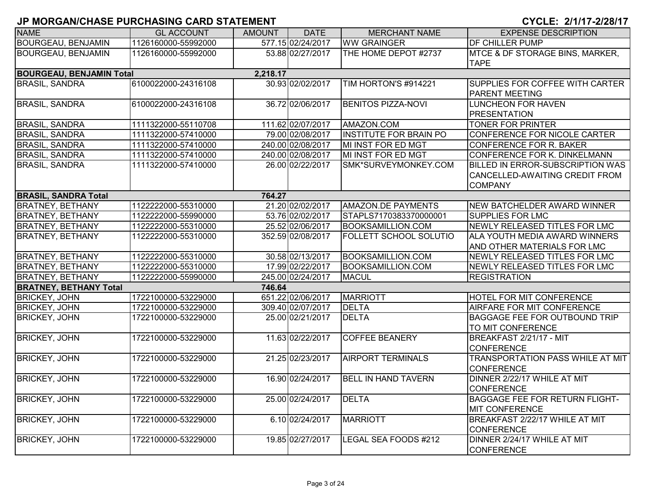| <b>NAME</b>                     | <b>GL ACCOUNT</b>   | <b>AMOUNT</b> | <b>DATE</b>       | <b>MERCHANT NAME</b>          | <b>EXPENSE DESCRIPTION</b>            |
|---------------------------------|---------------------|---------------|-------------------|-------------------------------|---------------------------------------|
| <b>BOURGEAU, BENJAMIN</b>       | 1126160000-55992000 |               | 577.15 02/24/2017 | <b>WW GRAINGER</b>            | DF CHILLER PUMP                       |
| <b>BOURGEAU, BENJAMIN</b>       | 1126160000-55992000 |               | 53.88 02/27/2017  | THE HOME DEPOT #2737          | MTCE & DF STORAGE BINS, MARKER,       |
|                                 |                     |               |                   |                               | <b>TAPE</b>                           |
| <b>BOURGEAU, BENJAMIN Total</b> |                     | 2,218.17      |                   |                               |                                       |
| <b>BRASIL, SANDRA</b>           | 6100022000-24316108 |               | 30.93 02/02/2017  | TIM HORTON'S #914221          | SUPPLIES FOR COFFEE WITH CARTER       |
|                                 |                     |               |                   |                               | <b>PARENT MEETING</b>                 |
| <b>BRASIL, SANDRA</b>           | 6100022000-24316108 |               | 36.72 02/06/2017  | <b>BENITOS PIZZA-NOVI</b>     | <b>LUNCHEON FOR HAVEN</b>             |
|                                 |                     |               |                   |                               | <b>PRESENTATION</b>                   |
| <b>BRASIL, SANDRA</b>           | 1111322000-55110708 |               | 111.62 02/07/2017 | AMAZON.COM                    | <b>TONER FOR PRINTER</b>              |
| <b>BRASIL, SANDRA</b>           | 1111322000-57410000 |               | 79.00 02/08/2017  | <b>INSTITUTE FOR BRAIN PO</b> | CONFERENCE FOR NICOLE CARTER          |
| <b>BRASIL, SANDRA</b>           | 1111322000-57410000 |               | 240.00 02/08/2017 | MI INST FOR ED MGT            | CONFERENCE FOR R. BAKER               |
| <b>BRASIL, SANDRA</b>           | 1111322000-57410000 |               | 240.00 02/08/2017 | MI INST FOR ED MGT            | CONFERENCE FOR K. DINKELMANN          |
| <b>BRASIL, SANDRA</b>           | 1111322000-57410000 |               | 26.00 02/22/2017  | SMK*SURVEYMONKEY.COM          | BILLED IN ERROR-SUBSCRIPTION WAS      |
|                                 |                     |               |                   |                               | CANCELLED-AWAITING CREDIT FROM        |
|                                 |                     |               |                   |                               | <b>COMPANY</b>                        |
| <b>BRASIL, SANDRA Total</b>     |                     | 764.27        |                   |                               |                                       |
| <b>BRATNEY, BETHANY</b>         | 1122222000-55310000 |               | 21.20 02/02/2017  | AMAZON.DE PAYMENTS            | NEW BATCHELDER AWARD WINNER           |
| <b>BRATNEY, BETHANY</b>         | 1122222000-55990000 |               | 53.76 02/02/2017  | STAPLS7170383370000001        | <b>SUPPLIES FOR LMC</b>               |
| <b>BRATNEY, BETHANY</b>         | 1122222000-55310000 |               | 25.52 02/06/2017  | <b>BOOKSAMILLION.COM</b>      | NEWLY RELEASED TITLES FOR LMC         |
| <b>BRATNEY, BETHANY</b>         | 1122222000-55310000 |               | 352.59 02/08/2017 | <b>FOLLETT SCHOOL SOLUTIO</b> | ALA YOUTH MEDIA AWARD WINNERS         |
|                                 |                     |               |                   |                               | AND OTHER MATERIALS FOR LMC           |
| <b>BRATNEY, BETHANY</b>         | 1122222000-55310000 |               | 30.58 02/13/2017  | <b>BOOKSAMILLION.COM</b>      | NEWLY RELEASED TITLES FOR LMC         |
| <b>BRATNEY, BETHANY</b>         | 1122222000-55310000 |               | 17.99 02/22/2017  | <b>BOOKSAMILLION.COM</b>      | NEWLY RELEASED TITLES FOR LMC         |
| <b>BRATNEY, BETHANY</b>         | 1122222000-55990000 |               | 245.00 02/24/2017 | <b>MACUL</b>                  | <b>REGISTRATION</b>                   |
| <b>BRATNEY, BETHANY Total</b>   |                     | 746.64        |                   |                               |                                       |
| <b>BRICKEY, JOHN</b>            | 1722100000-53229000 |               | 651.22 02/06/2017 | <b>MARRIOTT</b>               | HOTEL FOR MIT CONFERENCE              |
| <b>BRICKEY, JOHN</b>            | 1722100000-53229000 |               | 309.40 02/07/2017 | <b>DELTA</b>                  | AIRFARE FOR MIT CONFERENCE            |
| <b>BRICKEY, JOHN</b>            | 1722100000-53229000 |               | 25.00 02/21/2017  | <b>DELTA</b>                  | <b>BAGGAGE FEE FOR OUTBOUND TRIP</b>  |
|                                 |                     |               |                   |                               | TO MIT CONFERENCE                     |
| <b>BRICKEY, JOHN</b>            | 1722100000-53229000 |               | 11.63 02/22/2017  | <b>COFFEE BEANERY</b>         | BREAKFAST 2/21/17 - MIT               |
|                                 |                     |               |                   |                               | <b>CONFERENCE</b>                     |
| <b>BRICKEY, JOHN</b>            | 1722100000-53229000 |               | 21.25 02/23/2017  | <b>AIRPORT TERMINALS</b>      | TRANSPORTATION PASS WHILE AT MIT      |
|                                 |                     |               |                   |                               | <b>CONFERENCE</b>                     |
| <b>BRICKEY, JOHN</b>            | 1722100000-53229000 |               | 16.90 02/24/2017  | <b>BELL IN HAND TAVERN</b>    | DINNER 2/22/17 WHILE AT MIT           |
|                                 |                     |               |                   |                               | <b>CONFERENCE</b>                     |
| <b>BRICKEY, JOHN</b>            | 1722100000-53229000 |               | 25.00 02/24/2017  | <b>DELTA</b>                  | <b>BAGGAGE FEE FOR RETURN FLIGHT-</b> |
|                                 |                     |               |                   |                               | <b>MIT CONFERENCE</b>                 |
| <b>BRICKEY, JOHN</b>            | 1722100000-53229000 |               | 6.10 02/24/2017   | <b>MARRIOTT</b>               | BREAKFAST 2/22/17 WHILE AT MIT        |
|                                 |                     |               |                   |                               | <b>CONFERENCE</b>                     |
| <b>BRICKEY, JOHN</b>            | 1722100000-53229000 |               | 19.85 02/27/2017  | LEGAL SEA FOODS #212          | DINNER 2/24/17 WHILE AT MIT           |
|                                 |                     |               |                   |                               | <b>CONFERENCE</b>                     |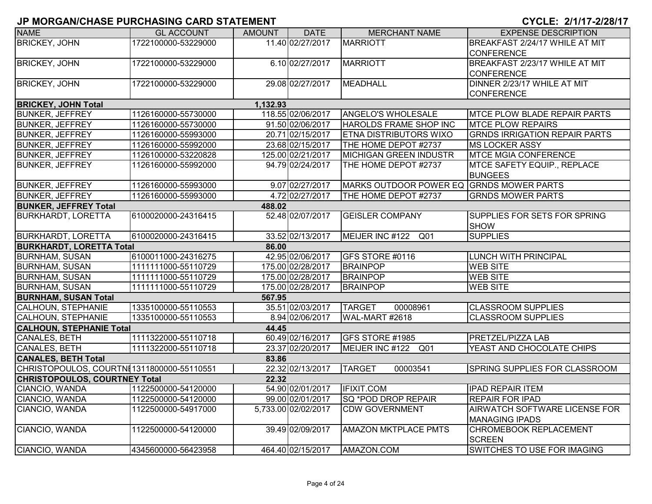| <b>NAME</b>                                | <b>GL ACCOUNT</b>   | AMOUNT   | <b>DATE</b>         | <b>MERCHANT NAME</b>                     | <b>EXPENSE DESCRIPTION</b>                         |
|--------------------------------------------|---------------------|----------|---------------------|------------------------------------------|----------------------------------------------------|
| <b>BRICKEY, JOHN</b>                       | 1722100000-53229000 |          | 11.40 02/27/2017    | <b>MARRIOTT</b>                          | BREAKFAST 2/24/17 WHILE AT MIT                     |
|                                            |                     |          |                     |                                          | <b>CONFERENCE</b>                                  |
| <b>BRICKEY, JOHN</b>                       | 1722100000-53229000 |          | 6.10 02/27/2017     | <b>MARRIOTT</b>                          | BREAKFAST 2/23/17 WHILE AT MIT                     |
|                                            |                     |          |                     |                                          | <b>CONFERENCE</b>                                  |
| <b>BRICKEY, JOHN</b>                       | 1722100000-53229000 |          | 29.08 02/27/2017    | <b>MEADHALL</b>                          | DINNER 2/23/17 WHILE AT MIT                        |
|                                            |                     |          |                     |                                          | <b>CONFERENCE</b>                                  |
| <b>BRICKEY, JOHN Total</b>                 |                     | 1,132.93 |                     |                                          |                                                    |
| <b>BUNKER, JEFFREY</b>                     | 1126160000-55730000 |          | 118.55 02/06/2017   | <b>ANGELO'S WHOLESALE</b>                | <b>IMTCE PLOW BLADE REPAIR PARTS</b>               |
| <b>BUNKER, JEFFREY</b>                     | 1126160000-55730000 |          | 91.50 02/06/2017    | HAROLDS FRAME SHOP INC                   | <b>MTCE PLOW REPAIRS</b>                           |
| <b>BUNKER, JEFFREY</b>                     | 1126160000-55993000 |          | 20.71 02/15/2017    | <b>ETNA DISTRIBUTORS WIXO</b>            | <b>GRNDS IRRIGATION REPAIR PARTS</b>               |
| <b>BUNKER, JEFFREY</b>                     | 1126160000-55992000 |          | 23.68 02/15/2017    | THE HOME DEPOT #2737                     | <b>MS LOCKER ASSY</b>                              |
| <b>BUNKER, JEFFREY</b>                     | 1126100000-53220828 |          | 125.00 02/21/2017   | MICHIGAN GREEN INDUSTR                   | <b>MTCE MGIA CONFERENCE</b>                        |
| <b>BUNKER, JEFFREY</b>                     | 1126160000-55992000 |          | 94.79 02/24/2017    | THE HOME DEPOT #2737                     | MTCE SAFETY EQUIP., REPLACE<br><b>BUNGEES</b>      |
| <b>BUNKER, JEFFREY</b>                     | 1126160000-55993000 |          | 9.07 02/27/2017     | MARKS OUTDOOR POWER EQ GRNDS MOWER PARTS |                                                    |
| <b>BUNKER, JEFFREY</b>                     | 1126160000-55993000 |          | 4.72 02/27/2017     | THE HOME DEPOT #2737                     | <b>GRNDS MOWER PARTS</b>                           |
| <b>BUNKER, JEFFREY Total</b>               |                     | 488.02   |                     |                                          |                                                    |
| <b>BURKHARDT, LORETTA</b>                  | 6100020000-24316415 |          | 52.48 02/07/2017    | <b>GEISLER COMPANY</b>                   | <b>SUPPLIES FOR SETS FOR SPRING</b><br><b>SHOW</b> |
| <b>BURKHARDT, LORETTA</b>                  | 6100020000-24316415 |          | 33.52 02/13/2017    | MEIJER INC #122<br>Q <sub>01</sub>       | <b>SUPPLIES</b>                                    |
| <b>BURKHARDT, LORETTA Total</b>            |                     | 86.00    |                     |                                          |                                                    |
| <b>BURNHAM, SUSAN</b>                      | 6100011000-24316275 |          | 42.95 02/06/2017    | GFS STORE #0116                          | <b>LUNCH WITH PRINCIPAL</b>                        |
| <b>BURNHAM, SUSAN</b>                      | 1111111000-55110729 |          | 175.00 02/28/2017   | <b>BRAINPOP</b>                          | <b>WEB SITE</b>                                    |
| <b>BURNHAM, SUSAN</b>                      | 1111111000-55110729 |          | 175.00 02/28/2017   | <b>BRAINPOP</b>                          | <b>WEB SITE</b>                                    |
| <b>BURNHAM, SUSAN</b>                      | 1111111000-55110729 |          | 175.00 02/28/2017   | <b>BRAINPOP</b>                          | <b>WEB SITE</b>                                    |
| <b>BURNHAM, SUSAN Total</b>                |                     | 567.95   |                     |                                          |                                                    |
| <b>CALHOUN, STEPHANIE</b>                  | 1335100000-55110553 |          | 35.51 02/03/2017    | <b>TARGET</b><br>00008961                | <b>CLASSROOM SUPPLIES</b>                          |
| CALHOUN, STEPHANIE                         | 1335100000-55110553 |          | 8.94 02/06/2017     | WAL-MART #2618                           | <b>CLASSROOM SUPPLIES</b>                          |
| <b>CALHOUN, STEPHANIE Total</b>            |                     | 44.45    |                     |                                          |                                                    |
| <b>CANALES, BETH</b>                       | 1111322000-55110718 |          | 60.49 02/16/2017    | GFS STORE #1985                          | <b>PRETZEL/PIZZA LAB</b>                           |
| <b>CANALES, BETH</b>                       | 1111322000-55110718 |          | 23.37 02/20/2017    | MEIJER INC #122 Q01                      | YEAST AND CHOCOLATE CHIPS                          |
| <b>CANALES, BETH Total</b>                 |                     | 83.86    |                     |                                          |                                                    |
| CHRISTOPOULOS, COURTNI 1311800000-55110551 |                     |          | 22.32 02/13/2017    | <b>TARGET</b><br>00003541                | SPRING SUPPLIES FOR CLASSROOM                      |
| <b>CHRISTOPOULOS, COURTNEY Total</b>       |                     | 22.32    |                     |                                          |                                                    |
| CIANCIO, WANDA                             | 1122500000-54120000 |          | 54.90 02/01/2017    | <b>IFIXIT.COM</b>                        | <b>IPAD REPAIR ITEM</b>                            |
| CIANCIO, WANDA                             | 1122500000-54120000 |          | 99.00 02/01/2017    | SQ *POD DROP REPAIR                      | <b>REPAIR FOR IPAD</b>                             |
| CIANCIO, WANDA                             | 1122500000-54917000 |          | 5,733.00 02/02/2017 | <b>CDW GOVERNMENT</b>                    | AIRWATCH SOFTWARE LICENSE FOR                      |
|                                            |                     |          |                     |                                          | <b>MANAGING IPADS</b>                              |
| CIANCIO, WANDA                             | 1122500000-54120000 |          | 39.49 02/09/2017    | <b>AMAZON MKTPLACE PMTS</b>              | <b>CHROMEBOOK REPLACEMENT</b>                      |
|                                            |                     |          |                     |                                          | <b>SCREEN</b>                                      |
| CIANCIO, WANDA                             | 4345600000-56423958 |          | 464.40 02/15/2017   | AMAZON.COM                               | SWITCHES TO USE FOR IMAGING                        |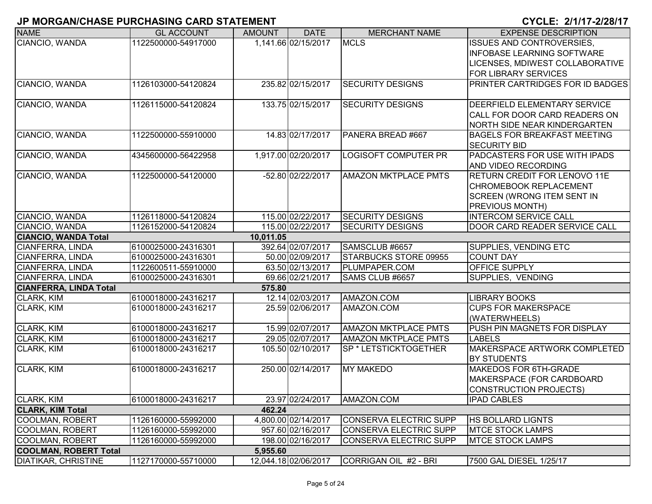| <b>NAME</b>                   | <b>GL ACCOUNT</b>   | <b>AMOUNT</b> | <b>DATE</b>          | <b>MERCHANT NAME</b>         | <b>EXPENSE DESCRIPTION</b>                                |
|-------------------------------|---------------------|---------------|----------------------|------------------------------|-----------------------------------------------------------|
| CIANCIO, WANDA                | 1122500000-54917000 |               | 1,141.66 02/15/2017  | <b>MCLS</b>                  | <b>ISSUES AND CONTROVERSIES,</b>                          |
|                               |                     |               |                      |                              | <b>INFOBASE LEARNING SOFTWARE</b>                         |
|                               |                     |               |                      |                              | LICENSES, MDIWEST COLLABORATIVE                           |
|                               |                     |               |                      |                              | <b>FOR LIBRARY SERVICES</b>                               |
| CIANCIO, WANDA                | 1126103000-54120824 |               | 235.82 02/15/2017    | <b>SECURITY DESIGNS</b>      | PRINTER CARTRIDGES FOR ID BADGES                          |
|                               |                     |               |                      |                              |                                                           |
| CIANCIO, WANDA                | 1126115000-54120824 |               | 133.75 02/15/2017    | <b>SECURITY DESIGNS</b>      | DEERFIELD ELEMENTARY SERVICE                              |
|                               |                     |               |                      |                              | CALL FOR DOOR CARD READERS ON                             |
|                               |                     |               |                      |                              | NORTH SIDE NEAR KINDERGARTEN                              |
| CIANCIO, WANDA                | 1122500000-55910000 |               | 14.83 02/17/2017     | PANERA BREAD #667            | <b>BAGELS FOR BREAKFAST MEETING</b>                       |
|                               |                     |               |                      |                              | <b>SECURITY BID</b>                                       |
| CIANCIO, WANDA                | 4345600000-56422958 |               | 1,917.00 02/20/2017  | <b>LOGISOFT COMPUTER PR</b>  | PADCASTERS FOR USE WITH IPADS                             |
|                               |                     |               |                      |                              | <b>AND VIDEO RECORDING</b>                                |
| CIANCIO, WANDA                | 1122500000-54120000 |               | -52.80 02/22/2017    | <b>AMAZON MKTPLACE PMTS</b>  | <b>RETURN CREDIT FOR LENOVO 11E</b>                       |
|                               |                     |               |                      |                              | CHROMEBOOK REPLACEMENT                                    |
|                               |                     |               |                      |                              | <b>SCREEN (WRONG ITEM SENT IN</b>                         |
|                               |                     |               |                      |                              | <b>PREVIOUS MONTH)</b>                                    |
| CIANCIO, WANDA                | 1126118000-54120824 |               | 115.00 02/22/2017    | <b>SECURITY DESIGNS</b>      | <b>INTERCOM SERVICE CALL</b>                              |
| CIANCIO, WANDA                | 1126152000-54120824 |               | 115.00 02/22/2017    | <b>SECURITY DESIGNS</b>      | DOOR CARD READER SERVICE CALL                             |
| <b>CIANCIO, WANDA Total</b>   |                     | 10,011.05     |                      |                              |                                                           |
| <b>CIANFERRA, LINDA</b>       | 6100025000-24316301 |               | 392.64 02/07/2017    | SAMSCLUB #6657               | <b>SUPPLIES, VENDING ETC</b>                              |
| <b>CIANFERRA, LINDA</b>       | 6100025000-24316301 |               | 50.00 02/09/2017     | <b>STARBUCKS STORE 09955</b> | <b>COUNT DAY</b>                                          |
| <b>CIANFERRA, LINDA</b>       | 1122600511-55910000 |               | 63.50 02/13/2017     | PLUMPAPER.COM                | OFFICE SUPPLY                                             |
| CIANFERRA, LINDA              | 6100025000-24316301 |               | 69.66 02/21/2017     | SAMS CLUB #6657              | SUPPLIES, VENDING                                         |
| <b>CIANFERRA, LINDA Total</b> |                     | 575.80        |                      |                              |                                                           |
| CLARK, KIM                    | 6100018000-24316217 |               | 12.14 02/03/2017     | AMAZON.COM                   | <b>LIBRARY BOOKS</b>                                      |
| <b>CLARK, KIM</b>             | 6100018000-24316217 |               | 25.59 02/06/2017     | AMAZON.COM                   | <b>CUPS FOR MAKERSPACE</b>                                |
|                               |                     |               |                      |                              | (WATERWHEELS)                                             |
| CLARK, KIM                    | 6100018000-24316217 |               | 15.99 02/07/2017     | <b>AMAZON MKTPLACE PMTS</b>  | PUSH PIN MAGNETS FOR DISPLAY                              |
| CLARK, KIM                    | 6100018000-24316217 |               | 29.05 02/07/2017     | <b>AMAZON MKTPLACE PMTS</b>  | <b>LABELS</b>                                             |
| <b>CLARK, KIM</b>             | 6100018000-24316217 |               | 105.50 02/10/2017    | SP * LETSTICKTOGETHER        | <b>MAKERSPACE ARTWORK COMPLETED</b><br><b>BY STUDENTS</b> |
| CLARK, KIM                    | 6100018000-24316217 |               | 250.00 02/14/2017    | <b>MY MAKEDO</b>             | MAKEDOS FOR 6TH-GRADE                                     |
|                               |                     |               |                      |                              | MAKERSPACE (FOR CARDBOARD                                 |
|                               |                     |               |                      |                              | CONSTRUCTION PROJECTS)                                    |
| CLARK, KIM                    | 6100018000-24316217 |               | 23.97 02/24/2017     | AMAZON.COM                   | <b>IPAD CABLES</b>                                        |
| <b>CLARK, KIM Total</b>       |                     | 462.24        |                      |                              |                                                           |
| COOLMAN, ROBERT               | 1126160000-55992000 |               | 4,800.00 02/14/2017  | CONSERVA ELECTRIC SUPP       | <b>HS BOLLARD LIGNTS</b>                                  |
| <b>COOLMAN, ROBERT</b>        | 1126160000-55992000 |               | 957.60 02/16/2017    | CONSERVA ELECTRIC SUPP       | <b>MTCE STOCK LAMPS</b>                                   |
| COOLMAN, ROBERT               | 1126160000-55992000 |               | 198.00 02/16/2017    | CONSERVA ELECTRIC SUPP       | <b>MTCE STOCK LAMPS</b>                                   |
| <b>COOLMAN, ROBERT Total</b>  |                     | 5,955.60      |                      |                              |                                                           |
| <b>DIATIKAR, CHRISTINE</b>    | 1127170000-55710000 |               | 12,044.18 02/06/2017 | CORRIGAN OIL #2 - BRI        | 7500 GAL DIESEL 1/25/17                                   |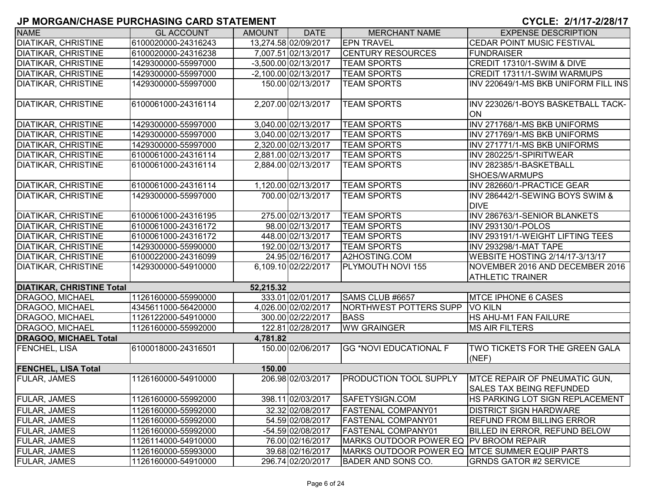| <b>NAME</b>                      | <b>GL ACCOUNT</b>   | <b>AMOUNT</b> | <b>DATE</b>          | <b>MERCHANT NAME</b>                           | <b>EXPENSE DESCRIPTION</b>             |
|----------------------------------|---------------------|---------------|----------------------|------------------------------------------------|----------------------------------------|
| <b>DIATIKAR, CHRISTINE</b>       | 6100020000-24316243 |               | 13,274.58 02/09/2017 | <b>EPN TRAVEL</b>                              | CEDAR POINT MUSIC FESTIVAL             |
| <b>DIATIKAR, CHRISTINE</b>       | 6100020000-24316238 |               | 7,007.51 02/13/2017  | <b>CENTURY RESOURCES</b>                       | <b>FUNDRAISER</b>                      |
| <b>DIATIKAR, CHRISTINE</b>       | 1429300000-55997000 |               | -3,500.00 02/13/2017 | <b>TEAM SPORTS</b>                             | CREDIT 17310/1-SWIM & DIVE             |
| <b>DIATIKAR, CHRISTINE</b>       | 1429300000-55997000 |               | -2,100.00 02/13/2017 | <b>TEAM SPORTS</b>                             | CREDIT 17311/1-SWIM WARMUPS            |
| <b>DIATIKAR, CHRISTINE</b>       | 1429300000-55997000 |               | 150.00 02/13/2017    | <b>TEAM SPORTS</b>                             | INV 220649/1-MS BKB UNIFORM FILL INS   |
|                                  |                     |               |                      |                                                |                                        |
| <b>DIATIKAR, CHRISTINE</b>       | 6100061000-24316114 |               | 2,207.00 02/13/2017  | <b>TEAM SPORTS</b>                             | INV 223026/1-BOYS BASKETBALL TACK-     |
|                                  |                     |               |                      |                                                | ON                                     |
| <b>DIATIKAR, CHRISTINE</b>       | 1429300000-55997000 |               | 3,040.00 02/13/2017  | <b>TEAM SPORTS</b>                             | INV 271768/1-MS BKB UNIFORMS           |
| <b>DIATIKAR, CHRISTINE</b>       | 1429300000-55997000 |               | 3.040.00 02/13/2017  | <b>TEAM SPORTS</b>                             | INV 271769/1-MS BKB UNIFORMS           |
| <b>DIATIKAR, CHRISTINE</b>       | 1429300000-55997000 |               | 2,320.00 02/13/2017  | <b>TEAM SPORTS</b>                             | INV 271771/1-MS BKB UNIFORMS           |
| <b>DIATIKAR, CHRISTINE</b>       | 6100061000-24316114 |               | 2,881.00 02/13/2017  | <b>TEAM SPORTS</b>                             | INV 280225/1-SPIRITWEAR                |
| <b>DIATIKAR, CHRISTINE</b>       | 6100061000-24316114 |               | 2,884.00 02/13/2017  | <b>TEAM SPORTS</b>                             | INV 282385/1-BASKETBALL                |
|                                  |                     |               |                      |                                                | SHOES/WARMUPS                          |
| <b>DIATIKAR, CHRISTINE</b>       | 6100061000-24316114 |               | 1,120.00 02/13/2017  | <b>TEAM SPORTS</b>                             | INV 282660/1-PRACTICE GEAR             |
| <b>DIATIKAR, CHRISTINE</b>       | 1429300000-55997000 |               | 700.00 02/13/2017    | <b>TEAM SPORTS</b>                             | INV 286442/1-SEWING BOYS SWIM &        |
|                                  |                     |               |                      |                                                | <b>DIVE</b>                            |
| <b>DIATIKAR, CHRISTINE</b>       | 6100061000-24316195 |               | 275.00 02/13/2017    | <b>TEAM SPORTS</b>                             | INV 286763/1-SENIOR BLANKETS           |
| <b>DIATIKAR, CHRISTINE</b>       | 6100061000-24316172 |               | 98.00 02/13/2017     | <b>TEAM SPORTS</b>                             | INV 293130/1-POLOS                     |
| <b>DIATIKAR, CHRISTINE</b>       | 6100061000-24316172 |               | 448.00 02/13/2017    | <b>TEAM SPORTS</b>                             | INV 293191/1-WEIGHT LIFTING TEES       |
| <b>DIATIKAR, CHRISTINE</b>       | 1429300000-55990000 |               | 192.00 02/13/2017    | <b>TEAM SPORTS</b>                             | <b>INV 293298/1-MAT TAPE</b>           |
| <b>DIATIKAR, CHRISTINE</b>       | 6100022000-24316099 |               | 24.95 02/16/2017     | A2HOSTING.COM                                  | <b>WEBSITE HOSTING 2/14/17-3/13/17</b> |
| <b>DIATIKAR, CHRISTINE</b>       | 1429300000-54910000 |               | 6,109.10 02/22/2017  | PLYMOUTH NOVI 155                              | NOVEMBER 2016 AND DECEMBER 2016        |
|                                  |                     |               |                      |                                                | <b>ATHLETIC TRAINER</b>                |
| <b>DIATIKAR, CHRISTINE Total</b> |                     | 52,215.32     |                      |                                                |                                        |
| DRAGOO, MICHAEL                  | 1126160000-55990000 |               | 333.01 02/01/2017    | SAMS CLUB #6657                                | <b>MTCE IPHONE 6 CASES</b>             |
| DRAGOO, MICHAEL                  | 4345611000-56420000 |               | 4,026.00 02/02/2017  | NORTHWEST POTTERS SUPP                         | <b>VO KILN</b>                         |
| DRAGOO, MICHAEL                  | 1126122000-54910000 |               | 300.00 02/22/2017    | <b>BASS</b>                                    | HS AHU-M1 FAN FAILURE                  |
| DRAGOO, MICHAEL                  | 1126160000-55992000 |               | 122.81 02/28/2017    | <b>WW GRAINGER</b>                             | MS AIR FILTERS                         |
| <b>DRAGOO, MICHAEL Total</b>     |                     | 4,781.82      |                      |                                                |                                        |
| FENCHEL, LISA                    | 6100018000-24316501 |               | 150.00 02/06/2017    | <b>GG *NOVI EDUCATIONAL F</b>                  | <b>TWO TICKETS FOR THE GREEN GALA</b>  |
|                                  |                     |               |                      |                                                | (NEF)                                  |
| <b>FENCHEL, LISA Total</b>       |                     | 150.00        |                      |                                                |                                        |
| <b>FULAR, JAMES</b>              | 1126160000-54910000 |               | 206.98 02/03/2017    | <b>PRODUCTION TOOL SUPPLY</b>                  | <b>IMTCE REPAIR OF PNEUMATIC GUN,</b>  |
|                                  |                     |               |                      |                                                | <b>SALES TAX BEING REFUNDED</b>        |
| <b>FULAR, JAMES</b>              | 1126160000-55992000 |               | 398.11 02/03/2017    | SAFETYSIGN.COM                                 | HS PARKING LOT SIGN REPLACEMENT        |
| <b>FULAR, JAMES</b>              | 1126160000-55992000 |               | 32.32 02/08/2017     | <b>FASTENAL COMPANY01</b>                      | <b>DISTRICT SIGN HARDWARE</b>          |
| <b>FULAR, JAMES</b>              | 1126160000-55992000 |               | 54.59 02/08/2017     | <b>FASTENAL COMPANY01</b>                      | <b>REFUND FROM BILLING ERROR</b>       |
| <b>FULAR, JAMES</b>              | 1126160000-55992000 |               | -54.59 02/08/2017    | <b>FASTENAL COMPANY01</b>                      | BILLED IN ERROR, REFUND BELOW          |
| <b>FULAR, JAMES</b>              | 1126114000-54910000 |               | 76.00 02/16/2017     | MARKS OUTDOOR POWER EQ   PV BROOM REPAIR       |                                        |
| <b>FULAR, JAMES</b>              | 1126160000-55993000 |               | 39.68 02/16/2017     | MARKS OUTDOOR POWER EQ MTCE SUMMER EQUIP PARTS |                                        |
| <b>FULAR, JAMES</b>              | 1126160000-54910000 |               | 296.74 02/20/2017    | <b>BADER AND SONS CO.</b>                      | <b>GRNDS GATOR #2 SERVICE</b>          |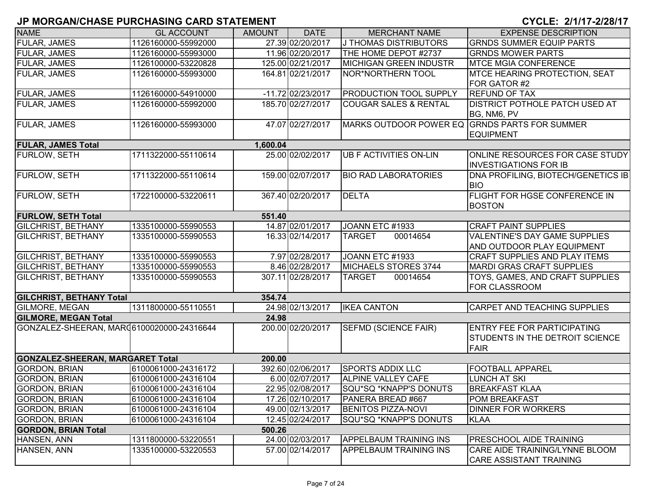| <b>NAME</b>                               | <b>GL ACCOUNT</b>   | <b>AMOUNT</b> | <b>DATE</b>       | <b>MERCHANT NAME</b>                          | <b>EXPENSE DESCRIPTION</b>                                                    |
|-------------------------------------------|---------------------|---------------|-------------------|-----------------------------------------------|-------------------------------------------------------------------------------|
| <b>FULAR, JAMES</b>                       | 1126160000-55992000 |               | 27.39 02/20/2017  | J THOMAS DISTRIBUTORS                         | <b>GRNDS SUMMER EQUIP PARTS</b>                                               |
| <b>FULAR, JAMES</b>                       | 1126160000-55993000 |               | 11.96 02/20/2017  | THE HOME DEPOT #2737                          | <b>GRNDS MOWER PARTS</b>                                                      |
| <b>FULAR, JAMES</b>                       | 1126100000-53220828 |               | 125.00 02/21/2017 | MICHIGAN GREEN INDUSTR                        | <b>MTCE MGIA CONFERENCE</b>                                                   |
| <b>FULAR, JAMES</b>                       | 1126160000-55993000 |               | 164.81 02/21/2017 | NOR*NORTHERN TOOL                             | <b>IMTCE HEARING PROTECTION, SEAT</b>                                         |
|                                           |                     |               |                   |                                               | FOR GATOR #2                                                                  |
| <b>FULAR, JAMES</b>                       | 1126160000-54910000 |               | -11.72 02/23/2017 | PRODUCTION TOOL SUPPLY                        | <b>REFUND OF TAX</b>                                                          |
| <b>FULAR, JAMES</b>                       | 1126160000-55992000 |               | 185.70 02/27/2017 | <b>COUGAR SALES &amp; RENTAL</b>              | <b>DISTRICT POTHOLE PATCH USED AT</b><br>BG, NM6, PV                          |
| <b>FULAR, JAMES</b>                       | 1126160000-55993000 |               | 47.07 02/27/2017  | MARKS OUTDOOR POWER EQ GRNDS PARTS FOR SUMMER | <b>EQUIPMENT</b>                                                              |
| <b>FULAR, JAMES Total</b>                 |                     | 1,600.04      |                   |                                               |                                                                               |
| <b>FURLOW, SETH</b>                       | 1711322000-55110614 |               | 25.00 02/02/2017  | <b>UB F ACTIVITIES ON-LIN</b>                 | <b>ONLINE RESOURCES FOR CASE STUDY</b><br><b>INVESTIGATIONS FOR IB</b>        |
| FURLOW, SETH                              | 1711322000-55110614 |               | 159.00 02/07/2017 | <b>BIO RAD LABORATORIES</b>                   | DNA PROFILING, BIOTECH/GENETICS IB<br><b>BIO</b>                              |
| FURLOW, SETH                              | 1722100000-53220611 |               | 367.40 02/20/2017 | <b>DELTA</b>                                  | <b>FLIGHT FOR HGSE CONFERENCE IN</b><br><b>BOSTON</b>                         |
| <b>FURLOW, SETH Total</b>                 |                     | 551.40        |                   |                                               |                                                                               |
| <b>GILCHRIST, BETHANY</b>                 | 1335100000-55990553 |               | 14.87 02/01/2017  | JOANN ETC #1933                               | <b>CRAFT PAINT SUPPLIES</b>                                                   |
| <b>GILCHRIST, BETHANY</b>                 | 1335100000-55990553 |               | 16.33 02/14/2017  | <b>TARGET</b><br>00014654                     | <b>VALENTINE'S DAY GAME SUPPLIES</b><br><b>AND OUTDOOR PLAY EQUIPMENT</b>     |
| <b>GILCHRIST, BETHANY</b>                 | 1335100000-55990553 |               | 7.97 02/28/2017   | JOANN ETC #1933                               | <b>CRAFT SUPPLIES AND PLAY ITEMS</b>                                          |
| <b>GILCHRIST, BETHANY</b>                 | 1335100000-55990553 |               | 8.46 02/28/2017   | MICHAELS STORES 3744                          | <b>MARDI GRAS CRAFT SUPPLIES</b>                                              |
| <b>GILCHRIST, BETHANY</b>                 | 1335100000-55990553 |               | 307.11 02/28/2017 | 00014654<br><b>TARGET</b>                     | TOYS, GAMES, AND CRAFT SUPPLIES<br><b>FOR CLASSROOM</b>                       |
| <b>GILCHRIST, BETHANY Total</b>           |                     | 354.74        |                   |                                               |                                                                               |
| <b>GILMORE, MEGAN</b>                     | 1311800000-55110551 |               | 24.98 02/13/2017  | <b>IKEA CANTON</b>                            | <b>CARPET AND TEACHING SUPPLIES</b>                                           |
| <b>GILMORE, MEGAN Total</b>               |                     | 24.98         |                   |                                               |                                                                               |
| GONZALEZ-SHEERAN, MAR06100020000-24316644 |                     |               | 200.00 02/20/2017 | <b>SEFMD (SCIENCE FAIR)</b>                   | <b>ENTRY FEE FOR PARTICIPATING</b><br>STUDENTS IN THE DETROIT SCIENCE<br>FAIR |
| <b>GONZALEZ-SHEERAN, MARGARET Total</b>   |                     | 200.00        |                   |                                               |                                                                               |
| <b>GORDON, BRIAN</b>                      | 6100061000-24316172 |               | 392.60 02/06/2017 | <b>SPORTS ADDIX LLC</b>                       | <b>FOOTBALL APPAREL</b>                                                       |
| <b>GORDON, BRIAN</b>                      | 6100061000-24316104 |               | 6.00 02/07/2017   | <b>ALPINE VALLEY CAFE</b>                     | <b>LUNCH AT SKI</b>                                                           |
| <b>GORDON, BRIAN</b>                      | 6100061000-24316104 |               | 22.95 02/08/2017  | SQU*SQ *KNAPP'S DONUTS                        | <b>BREAKFAST KLAA</b>                                                         |
| <b>GORDON, BRIAN</b>                      | 6100061000-24316104 |               | 17.26 02/10/2017  | PANERA BREAD #667                             | <b>POM BREAKFAST</b>                                                          |
| <b>GORDON, BRIAN</b>                      | 6100061000-24316104 |               | 49.00 02/13/2017  | <b>BENITOS PIZZA-NOVI</b>                     | <b>DINNER FOR WORKERS</b>                                                     |
| <b>GORDON, BRIAN</b>                      | 6100061000-24316104 |               | 12.45 02/24/2017  | SQU*SQ *KNAPP'S DONUTS                        | <b>KLAA</b>                                                                   |
| <b>GORDON, BRIAN Total</b>                |                     | 500.26        |                   |                                               |                                                                               |
| HANSEN, ANN                               | 1311800000-53220551 |               | 24.00 02/03/2017  | <b>APPELBAUM TRAINING INS</b>                 | <b>PRESCHOOL AIDE TRAINING</b>                                                |
| HANSEN, ANN                               | 1335100000-53220553 |               | 57.00 02/14/2017  | <b>APPELBAUM TRAINING INS</b>                 | CARE AIDE TRAINING/LYNNE BLOOM<br><b>CARE ASSISTANT TRAINING</b>              |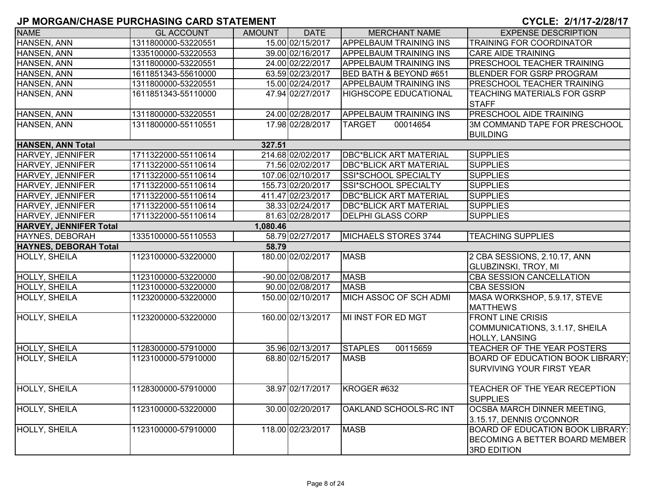| <b>NAME</b>                  | <b>GL ACCOUNT</b>   | <b>AMOUNT</b> | <b>DATE</b>       | <b>MERCHANT NAME</b>          | <b>EXPENSE DESCRIPTION</b>              |
|------------------------------|---------------------|---------------|-------------------|-------------------------------|-----------------------------------------|
| <b>HANSEN, ANN</b>           | 1311800000-53220551 |               | 15.00 02/15/2017  | <b>APPELBAUM TRAINING INS</b> | <b>TRAINING FOR COORDINATOR</b>         |
| HANSEN, ANN                  | 1335100000-53220553 |               | 39.00 02/16/2017  | <b>APPELBAUM TRAINING INS</b> | <b>CARE AIDE TRAINING</b>               |
| <b>HANSEN, ANN</b>           | 1311800000-53220551 |               | 24.00 02/22/2017  | <b>APPELBAUM TRAINING INS</b> | <b>PRESCHOOL TEACHER TRAINING</b>       |
| HANSEN, ANN                  | 1611851343-55610000 |               | 63.59 02/23/2017  | BED BATH & BEYOND #651        | <b>BLENDER FOR GSRP PROGRAM</b>         |
| HANSEN, ANN                  | 1311800000-53220551 |               | 15.00 02/24/2017  | <b>APPELBAUM TRAINING INS</b> | PRESCHOOL TEACHER TRAINING              |
| HANSEN, ANN                  | 1611851343-55110000 |               | 47.94 02/27/2017  | <b>HIGHSCOPE EDUCATIONAL</b>  | TEACHING MATERIALS FOR GSRP             |
|                              |                     |               |                   |                               | <b>STAFF</b>                            |
| HANSEN, ANN                  | 1311800000-53220551 |               | 24.00 02/28/2017  | <b>APPELBAUM TRAINING INS</b> | <b>PRESCHOOL AIDE TRAINING</b>          |
| HANSEN, ANN                  | 1311800000-55110551 |               | 17.98 02/28/2017  | <b>TARGET</b><br>00014654     | 3M COMMAND TAPE FOR PRESCHOOL           |
|                              |                     |               |                   |                               | <b>BUILDING</b>                         |
| <b>HANSEN, ANN Total</b>     |                     | 327.51        |                   |                               |                                         |
| HARVEY, JENNIFER             | 1711322000-55110614 |               | 214.68 02/02/2017 | <b>DBC*BLICK ART MATERIAL</b> | <b>SUPPLIES</b>                         |
| HARVEY, JENNIFER             | 1711322000-55110614 |               | 71.56 02/02/2017  | <b>DBC*BLICK ART MATERIAL</b> | <b>SUPPLIES</b>                         |
| HARVEY, JENNIFER             | 1711322000-55110614 |               | 107.06 02/10/2017 | SSI*SCHOOL SPECIALTY          | <b>SUPPLIES</b>                         |
| <b>HARVEY, JENNIFER</b>      | 1711322000-55110614 |               | 155.73 02/20/2017 | SSI*SCHOOL SPECIALTY          | <b>SUPPLIES</b>                         |
| HARVEY, JENNIFER             | 1711322000-55110614 |               | 411.47 02/23/2017 | <b>DBC*BLICK ART MATERIAL</b> | <b>SUPPLIES</b>                         |
| HARVEY, JENNIFER             | 1711322000-55110614 |               | 38.33 02/24/2017  | <b>DBC*BLICK ART MATERIAL</b> | <b>SUPPLIES</b>                         |
| HARVEY, JENNIFER             | 1711322000-55110614 |               | 81.63 02/28/2017  | <b>DELPHI GLASS CORP</b>      | <b>SUPPLIES</b>                         |
| HARVEY, JENNIFER Total       |                     | 1,080.46      |                   |                               |                                         |
| <b>HAYNES, DEBORAH</b>       | 1335100000-55110553 |               | 58.79 02/27/2017  | MICHAELS STORES 3744          | <b>TEACHING SUPPLIES</b>                |
| <b>HAYNES, DEBORAH Total</b> |                     | 58.79         |                   |                               |                                         |
| HOLLY, SHEILA                | 1123100000-53220000 |               | 180.00 02/02/2017 | <b>MASB</b>                   | 2 CBA SESSIONS, 2.10.17, ANN            |
|                              |                     |               |                   |                               | <b>GLUBZINSKI, TROY, MI</b>             |
| <b>HOLLY, SHEILA</b>         | 1123100000-53220000 |               | -90.00 02/08/2017 | <b>MASB</b>                   | <b>CBA SESSION CANCELLATION</b>         |
| <b>HOLLY, SHEILA</b>         | 1123100000-53220000 |               | 90.00 02/08/2017  | <b>MASB</b>                   | <b>CBA SESSION</b>                      |
| <b>HOLLY, SHEILA</b>         | 1123200000-53220000 |               | 150.00 02/10/2017 | MICH ASSOC OF SCH ADMI        | MASA WORKSHOP, 5.9.17, STEVE            |
|                              |                     |               |                   |                               | <b>MATTHEWS</b>                         |
| <b>HOLLY, SHEILA</b>         | 1123200000-53220000 |               | 160.00 02/13/2017 | MI INST FOR ED MGT            | <b>FRONT LINE CRISIS</b>                |
|                              |                     |               |                   |                               | COMMUNICATIONS, 3.1.17, SHEILA          |
|                              |                     |               |                   |                               | <b>HOLLY, LANSING</b>                   |
| HOLLY, SHEILA                | 1128300000-57910000 |               | 35.96 02/13/2017  | <b>STAPLES</b><br>00115659    | TEACHER OF THE YEAR POSTERS             |
| HOLLY, SHEILA                | 1123100000-57910000 |               | 68.80 02/15/2017  | <b>MASB</b>                   | <b>BOARD OF EDUCATION BOOK LIBRARY;</b> |
|                              |                     |               |                   |                               | <b>SURVIVING YOUR FIRST YEAR</b>        |
|                              |                     |               |                   |                               |                                         |
| <b>HOLLY, SHEILA</b>         | 1128300000-57910000 |               | 38.97 02/17/2017  | KROGER #632                   | TEACHER OF THE YEAR RECEPTION           |
|                              |                     |               |                   |                               | <b>SUPPLIES</b>                         |
| <b>HOLLY, SHEILA</b>         | 1123100000-53220000 |               | 30.00 02/20/2017  | OAKLAND SCHOOLS-RC INT        | <b>OCSBA MARCH DINNER MEETING.</b>      |
|                              |                     |               |                   |                               | 3.15.17, DENNIS O'CONNOR                |
| HOLLY, SHEILA                | 1123100000-57910000 |               | 118.00 02/23/2017 | <b>MASB</b>                   | <b>BOARD OF EDUCATION BOOK LIBRARY:</b> |
|                              |                     |               |                   |                               | <b>BECOMING A BETTER BOARD MEMBER</b>   |
|                              |                     |               |                   |                               | <b>3RD EDITION</b>                      |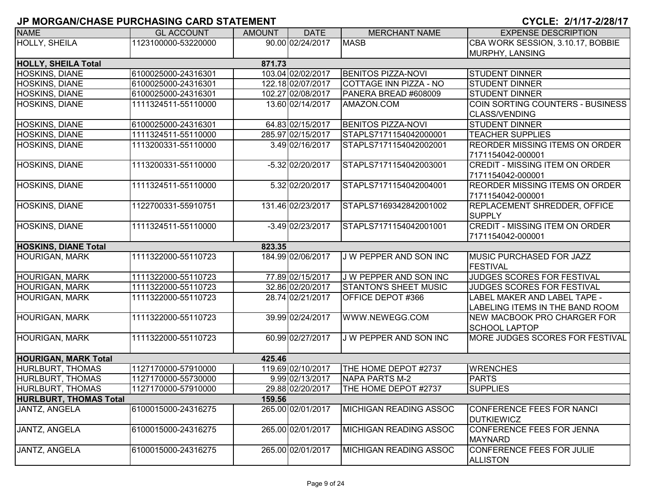| <b>NAME</b>                   | <b>GL ACCOUNT</b>   | <b>AMOUNT</b> | <b>DATE</b>        | <b>MERCHANT NAME</b>          | <b>EXPENSE DESCRIPTION</b>                                 |
|-------------------------------|---------------------|---------------|--------------------|-------------------------------|------------------------------------------------------------|
| <b>HOLLY, SHEILA</b>          | 1123100000-53220000 |               | 90.00 02/24/2017   | <b>MASB</b>                   | CBA WORK SESSION, 3.10.17, BOBBIE                          |
|                               |                     |               |                    |                               | MURPHY, LANSING                                            |
| <b>HOLLY, SHEILA Total</b>    |                     | 871.73        |                    |                               |                                                            |
| <b>HOSKINS, DIANE</b>         | 6100025000-24316301 |               | 103.04 02/02/2017  | <b>BENITOS PIZZA-NOVI</b>     | <b>STUDENT DINNER</b>                                      |
| <b>HOSKINS, DIANE</b>         | 6100025000-24316301 |               | 122.18 02/07/2017  | <b>COTTAGE INN PIZZA - NO</b> | <b>STUDENT DINNER</b>                                      |
| HOSKINS, DIANE                | 6100025000-24316301 |               | 102.27 02/08/2017  | PANERA BREAD #608009          | <b>STUDENT DINNER</b>                                      |
| <b>HOSKINS, DIANE</b>         | 1111324511-55110000 |               | 13.60 02/14/2017   | AMAZON.COM                    | COIN SORTING COUNTERS - BUSINESS<br><b>CLASS/VENDING</b>   |
| HOSKINS, DIANE                | 6100025000-24316301 |               | 64.83 02/15/2017   | <b>BENITOS PIZZA-NOVI</b>     | <b>STUDENT DINNER</b>                                      |
| <b>HOSKINS, DIANE</b>         | 1111324511-55110000 |               | 285.97 02/15/2017  | STAPLS7171154042000001        | <b>TEACHER SUPPLIES</b>                                    |
| HOSKINS, DIANE                | 1113200331-55110000 |               | 3.49 02/16/2017    | STAPLS7171154042002001        | <b>REORDER MISSING ITEMS ON ORDER</b>                      |
|                               |                     |               |                    |                               | 7171154042-000001                                          |
| HOSKINS, DIANE                | 1113200331-55110000 |               | -5.32 02/20/2017   | STAPLS7171154042003001        | <b>CREDIT - MISSING ITEM ON ORDER</b><br>7171154042-000001 |
| HOSKINS, DIANE                | 1111324511-55110000 |               | 5.32 02/20/2017    | STAPLS7171154042004001        | <b>REORDER MISSING ITEMS ON ORDER</b>                      |
|                               |                     |               |                    |                               | 7171154042-000001                                          |
| HOSKINS, DIANE                | 1122700331-55910751 |               | 131.46 02/23/2017  | STAPLS7169342842001002        | <b>REPLACEMENT SHREDDER, OFFICE</b>                        |
|                               |                     |               |                    |                               | <b>SUPPLY</b>                                              |
| HOSKINS, DIANE                | 1111324511-55110000 |               | $-3.49$ 02/23/2017 | STAPLS7171154042001001        | <b>CREDIT - MISSING ITEM ON ORDER</b>                      |
|                               |                     |               |                    |                               | 7171154042-000001                                          |
| <b>HOSKINS, DIANE Total</b>   |                     | 823.35        |                    |                               |                                                            |
| <b>HOURIGAN, MARK</b>         | 1111322000-55110723 |               | 184.99 02/06/2017  | J W PEPPER AND SON INC        | <b>MUSIC PURCHASED FOR JAZZ</b>                            |
|                               |                     |               |                    |                               | FESTIVAL                                                   |
| <b>HOURIGAN, MARK</b>         | 1111322000-55110723 |               | 77.89 02/15/2017   | J W PEPPER AND SON INC        | JUDGES SCORES FOR FESTIVAL                                 |
| <b>HOURIGAN, MARK</b>         | 1111322000-55110723 |               | 32.86 02/20/2017   | <b>STANTON'S SHEET MUSIC</b>  | JUDGES SCORES FOR FESTIVAL                                 |
| <b>HOURIGAN, MARK</b>         | 1111322000-55110723 |               | 28.74 02/21/2017   | OFFICE DEPOT #366             | LABEL MAKER AND LABEL TAPE -                               |
|                               |                     |               |                    |                               | LABELING ITEMS IN THE BAND ROOM                            |
| <b>HOURIGAN, MARK</b>         | 1111322000-55110723 |               | 39.99 02/24/2017   | WWW.NEWEGG.COM                | <b>NEW MACBOOK PRO CHARGER FOR</b>                         |
|                               |                     |               |                    |                               | <b>SCHOOL LAPTOP</b>                                       |
| <b>HOURIGAN, MARK</b>         | 1111322000-55110723 |               | 60.99 02/27/2017   | <b>J W PEPPER AND SON INC</b> | MORE JUDGES SCORES FOR FESTIVAL                            |
| <b>HOURIGAN, MARK Total</b>   |                     | 425.46        |                    |                               |                                                            |
| <b>HURLBURT, THOMAS</b>       | 1127170000-57910000 |               | 119.69 02/10/2017  | THE HOME DEPOT #2737          | <b>WRENCHES</b>                                            |
| HURLBURT, THOMAS              | 1127170000-55730000 |               | 9.99 02/13/2017    | <b>NAPA PARTS M-2</b>         | <b>PARTS</b>                                               |
| HURLBURT, THOMAS              | 1127170000-57910000 |               | 29.88 02/20/2017   | THE HOME DEPOT #2737          | <b>SUPPLIES</b>                                            |
| <b>HURLBURT, THOMAS Total</b> |                     | 159.56        |                    |                               |                                                            |
| JANTZ, ANGELA                 | 6100015000-24316275 |               | 265.00 02/01/2017  | <b>MICHIGAN READING ASSOC</b> | CONFERENCE FEES FOR NANCI                                  |
|                               |                     |               |                    |                               | <b>DUTKIEWICZ</b>                                          |
| JANTZ, ANGELA                 | 6100015000-24316275 |               | 265.00 02/01/2017  | MICHIGAN READING ASSOC        | CONFERENCE FEES FOR JENNA                                  |
|                               |                     |               |                    |                               | <b>MAYNARD</b>                                             |
| JANTZ, ANGELA                 | 6100015000-24316275 |               | 265.00 02/01/2017  | <b>MICHIGAN READING ASSOC</b> | CONFERENCE FEES FOR JULIE                                  |
|                               |                     |               |                    |                               | <b>ALLISTON</b>                                            |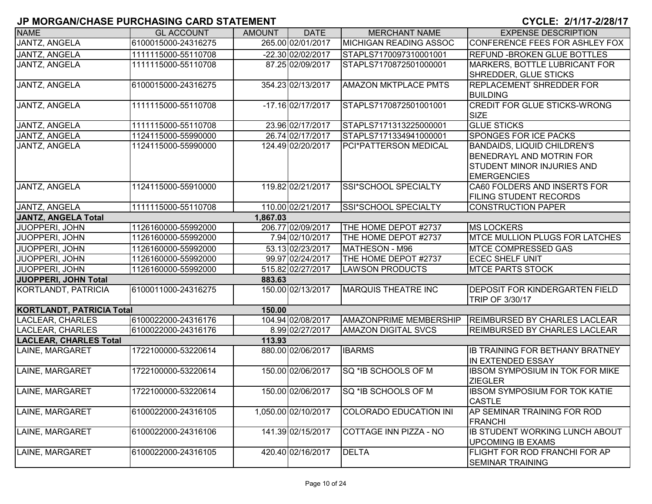| <b>NAME</b>                      | <b>GL ACCOUNT</b>   | <b>AMOUNT</b> | <b>DATE</b>         | <b>MERCHANT NAME</b>          | <b>EXPENSE DESCRIPTION</b>                                                                                         |  |  |  |  |  |
|----------------------------------|---------------------|---------------|---------------------|-------------------------------|--------------------------------------------------------------------------------------------------------------------|--|--|--|--|--|
| <b>JANTZ, ANGELA</b>             | 6100015000-24316275 |               | 265.00 02/01/2017   | <b>MICHIGAN READING ASSOC</b> | CONFERENCE FEES FOR ASHLEY FOX                                                                                     |  |  |  |  |  |
| <b>JANTZ, ANGELA</b>             | 1111115000-55110708 |               | -22.30 02/02/2017   | STAPLS7170097310001001        | <b>REFUND - BROKEN GLUE BOTTLES</b>                                                                                |  |  |  |  |  |
| JANTZ, ANGELA                    | 1111115000-55110708 |               | 87.25 02/09/2017    | STAPLS7170872501000001        | MARKERS, BOTTLE LUBRICANT FOR<br>SHREDDER, GLUE STICKS                                                             |  |  |  |  |  |
| JANTZ, ANGELA                    | 6100015000-24316275 |               | 354.23 02/13/2017   | <b>AMAZON MKTPLACE PMTS</b>   | <b>REPLACEMENT SHREDDER FOR</b><br><b>BUILDING</b>                                                                 |  |  |  |  |  |
| JANTZ, ANGELA                    | 1111115000-55110708 |               | -17.16 02/17/2017   | STAPLS7170872501001001        | <b>CREDIT FOR GLUE STICKS-WRONG</b><br>SIZE                                                                        |  |  |  |  |  |
| JANTZ, ANGELA                    | 1111115000-55110708 |               | 23.96 02/17/2017    | STAPLS7171313225000001        | <b>GLUE STICKS</b>                                                                                                 |  |  |  |  |  |
| JANTZ, ANGELA                    | 1124115000-55990000 |               | 26.74 02/17/2017    | STAPLS7171334941000001        | <b>SPONGES FOR ICE PACKS</b>                                                                                       |  |  |  |  |  |
| JANTZ, ANGELA                    | 1124115000-55990000 |               | 124.49 02/20/2017   | PCI*PATTERSON MEDICAL         | <b>BANDAIDS, LIQUID CHILDREN'S</b><br>BENEDRAYL AND MOTRIN FOR<br>STUDENT MINOR INJURIES AND<br><b>EMERGENCIES</b> |  |  |  |  |  |
| <b>JANTZ, ANGELA</b>             | 1124115000-55910000 |               | 119.82 02/21/2017   | SSI*SCHOOL SPECIALTY          | CA60 FOLDERS AND INSERTS FOR<br><b>FILING STUDENT RECORDS</b>                                                      |  |  |  |  |  |
| <b>JANTZ, ANGELA</b>             | 1111115000-55110708 |               | 110.00 02/21/2017   | SSI*SCHOOL SPECIALTY          | CONSTRUCTION PAPER                                                                                                 |  |  |  |  |  |
| <b>JANTZ, ANGELA Total</b>       | 1,867.03            |               |                     |                               |                                                                                                                    |  |  |  |  |  |
| <b>JUOPPERI, JOHN</b>            | 1126160000-55992000 |               | 206.77 02/09/2017   | THE HOME DEPOT #2737          | <b>MS LOCKERS</b>                                                                                                  |  |  |  |  |  |
| <b>JUOPPERI, JOHN</b>            | 1126160000-55992000 |               | 7.94 02/10/2017     | THE HOME DEPOT #2737          | <b>MTCE MULLION PLUGS FOR LATCHES</b>                                                                              |  |  |  |  |  |
| JUOPPERI, JOHN                   | 1126160000-55992000 |               | 53.13 02/23/2017    | MATHESON - M96                | <b>IMTCE COMPRESSED GAS</b>                                                                                        |  |  |  |  |  |
| JUOPPERI, JOHN                   | 1126160000-55992000 |               | 99.97 02/24/2017    | THE HOME DEPOT #2737          | <b>ECEC SHELF UNIT</b>                                                                                             |  |  |  |  |  |
| JUOPPERI, JOHN                   | 1126160000-55992000 |               | 515.82 02/27/2017   | <b>LAWSON PRODUCTS</b>        | <b>MTCE PARTS STOCK</b>                                                                                            |  |  |  |  |  |
| JUOPPERI, JOHN Total             |                     | 883.63        |                     |                               |                                                                                                                    |  |  |  |  |  |
| KORTLANDT, PATRICIA              | 6100011000-24316275 |               | 150.00 02/13/2017   | <b>MARQUIS THEATRE INC</b>    | <b>DEPOSIT FOR KINDERGARTEN FIELD</b><br>TRIP OF 3/30/17                                                           |  |  |  |  |  |
| <b>KORTLANDT, PATRICIA Total</b> |                     | 150.00        |                     |                               |                                                                                                                    |  |  |  |  |  |
| LACLEAR, CHARLES                 | 6100022000-24316176 |               | 104.94 02/08/2017   | <b>AMAZONPRIME MEMBERSHIP</b> | <b>REIMBURSED BY CHARLES LACLEAR</b>                                                                               |  |  |  |  |  |
| <b>LACLEAR, CHARLES</b>          | 6100022000-24316176 |               | 8.99 02/27/2017     | <b>AMAZON DIGITAL SVCS</b>    | <b>REIMBURSED BY CHARLES LACLEAR</b>                                                                               |  |  |  |  |  |
| <b>LACLEAR, CHARLES Total</b>    |                     | 113.93        |                     |                               |                                                                                                                    |  |  |  |  |  |
| LAINE, MARGARET                  | 1722100000-53220614 |               | 880.00 02/06/2017   | <b>IBARMS</b>                 | <b>IB TRAINING FOR BETHANY BRATNEY</b><br>IN EXTENDED ESSAY                                                        |  |  |  |  |  |
| LAINE, MARGARET                  | 1722100000-53220614 |               | 150.00 02/06/2017   | SQ *IB SCHOOLS OF M           | IBSOM SYMPOSIUM IN TOK FOR MIKE<br><b>ZIEGLER</b>                                                                  |  |  |  |  |  |
| LAINE, MARGARET                  | 1722100000-53220614 |               | 150.00 02/06/2017   | <b>SQ *IB SCHOOLS OF M</b>    | <b>IBSOM SYMPOSIUM FOR TOK KATIE</b><br><b>CASTLE</b>                                                              |  |  |  |  |  |
| LAINE, MARGARET                  | 6100022000-24316105 |               | 1,050.00 02/10/2017 | <b>COLORADO EDUCATION INI</b> | AP SEMINAR TRAINING FOR ROD<br>FRANCHI                                                                             |  |  |  |  |  |
| LAINE, MARGARET                  | 6100022000-24316106 |               | 141.39 02/15/2017   | COTTAGE INN PIZZA - NO        | <b>IB STUDENT WORKING LUNCH ABOUT</b><br><b>UPCOMING IB EXAMS</b>                                                  |  |  |  |  |  |
| LAINE, MARGARET                  | 6100022000-24316105 |               | 420.40 02/16/2017   | <b>DELTA</b>                  | FLIGHT FOR ROD FRANCHI FOR AP<br><b>SEMINAR TRAINING</b>                                                           |  |  |  |  |  |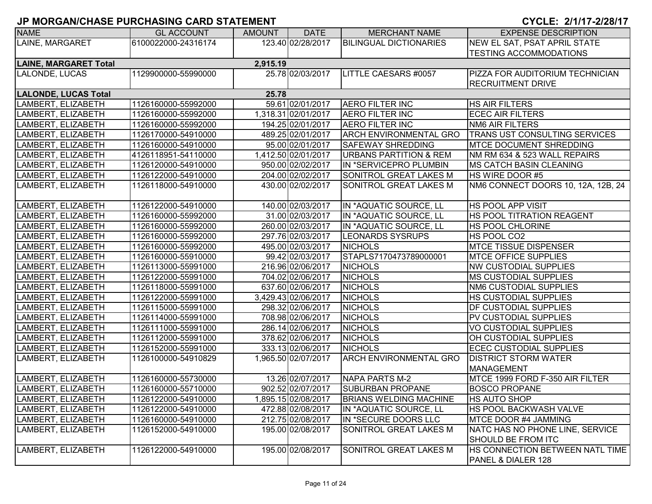| <b>NAME</b>                  | <b>GL ACCOUNT</b>   | <b>AMOUNT</b> | <b>DATE</b>         | <b>MERCHANT NAME</b>              | <b>EXPENSE DESCRIPTION</b>             |
|------------------------------|---------------------|---------------|---------------------|-----------------------------------|----------------------------------------|
| LAINE, MARGARET              | 6100022000-24316174 |               | 123.40 02/28/2017   | <b>BILINGUAL DICTIONARIES</b>     | NEW EL SAT, PSAT APRIL STATE           |
|                              |                     |               |                     |                                   | <b>TESTING ACCOMMODATIONS</b>          |
| <b>LAINE, MARGARET Total</b> |                     | 2,915.19      |                     |                                   |                                        |
| LALONDE, LUCAS               | 1129900000-55990000 |               | 25.78 02/03/2017    | LITTLE CAESARS #0057              | <b>PIZZA FOR AUDITORIUM TECHNICIAN</b> |
|                              |                     |               |                     |                                   | <b>RECRUITMENT DRIVE</b>               |
| <b>LALONDE, LUCAS Total</b>  |                     | 25.78         |                     |                                   |                                        |
| LAMBERT, ELIZABETH           | 1126160000-55992000 |               | 59.61 02/01/2017    | <b>AERO FILTER INC</b>            | <b>HS AIR FILTERS</b>                  |
| LAMBERT, ELIZABETH           | 1126160000-55992000 |               | 1,318.31 02/01/2017 | <b>AERO FILTER INC</b>            | <b>ECEC AIR FILTERS</b>                |
| LAMBERT, ELIZABETH           | 1126160000-55992000 |               | 194.25 02/01/2017   | <b>AERO FILTER INC</b>            | <b>NM6 AIR FILTERS</b>                 |
| LAMBERT, ELIZABETH           | 1126170000-54910000 |               | 489.25 02/01/2017   | <b>ARCH ENVIRONMENTAL GRO</b>     | TRANS UST CONSULTING SERVICES          |
| LAMBERT, ELIZABETH           | 1126160000-54910000 |               | 95.00 02/01/2017    | <b>SAFEWAY SHREDDING</b>          | <b>MTCE DOCUMENT SHREDDING</b>         |
| LAMBERT, ELIZABETH           | 4126118951-54110000 |               | 1,412.50 02/01/2017 | <b>URBANS PARTITION &amp; REM</b> | NM RM 634 & 523 WALL REPAIRS           |
| LAMBERT, ELIZABETH           | 1126120000-54910000 |               | 950.00 02/02/2017   | IN *SERVICEPRO PLUMBIN            | <b>IMS CATCH BASIN CLEANING</b>        |
| LAMBERT, ELIZABETH           | 1126122000-54910000 |               | 204.00 02/02/2017   | SONITROL GREAT LAKES M            | <b>HS WIRE DOOR #5</b>                 |
| LAMBERT, ELIZABETH           | 1126118000-54910000 |               | 430.00 02/02/2017   | SONITROL GREAT LAKES M            | NM6 CONNECT DOORS 10, 12A, 12B, 24     |
|                              |                     |               |                     |                                   |                                        |
| LAMBERT, ELIZABETH           | 1126122000-54910000 |               | 140.00 02/03/2017   | IN *AQUATIC SOURCE, LL            | <b>HS POOL APP VISIT</b>               |
| LAMBERT, ELIZABETH           | 1126160000-55992000 |               | 31.00 02/03/2017    | IN *AQUATIC SOURCE, LL            | HS POOL TITRATION REAGENT              |
| LAMBERT, ELIZABETH           | 1126160000-55992000 |               | 260.00 02/03/2017   | IN *AQUATIC SOURCE, LL            | <b>HS POOL CHLORINE</b>                |
| LAMBERT, ELIZABETH           | 1126160000-55992000 |               | 297.76 02/03/2017   | <b>LEONARDS SYSRUPS</b>           | HS POOL CO2                            |
| LAMBERT, ELIZABETH           | 1126160000-55992000 |               | 495.00 02/03/2017   | <b>NICHOLS</b>                    | <b>MTCE TISSUE DISPENSER</b>           |
| LAMBERT, ELIZABETH           | 1126160000-55910000 |               | 99.42 02/03/2017    | STAPLS7170473789000001            | <b>IMTCE OFFICE SUPPLIES</b>           |
| LAMBERT, ELIZABETH           | 1126113000-55991000 |               | 216.96 02/06/2017   | <b>NICHOLS</b>                    | <b>NW CUSTODIAL SUPPLIES</b>           |
| LAMBERT, ELIZABETH           | 1126122000-55991000 |               | 704.02 02/06/2017   | <b>NICHOLS</b>                    | <b>IMS CUSTODIAL SUPPLIES</b>          |
| LAMBERT, ELIZABETH           | 1126118000-55991000 |               | 637.60 02/06/2017   | <b>NICHOLS</b>                    | <b>NM6 CUSTODIAL SUPPLIES</b>          |
| LAMBERT, ELIZABETH           | 1126122000-55991000 |               | 3,429.43 02/06/2017 | <b>NICHOLS</b>                    | <b>HS CUSTODIAL SUPPLIES</b>           |
| LAMBERT, ELIZABETH           | 1126115000-55991000 |               | 298.32 02/06/2017   | <b>NICHOLS</b>                    | <b>DF CUSTODIAL SUPPLIES</b>           |
| LAMBERT, ELIZABETH           | 1126114000-55991000 |               | 708.98 02/06/2017   | <b>NICHOLS</b>                    | <b>PV CUSTODIAL SUPPLIES</b>           |
| LAMBERT, ELIZABETH           | 1126111000-55991000 |               | 286.14 02/06/2017   | <b>NICHOLS</b>                    | VO CUSTODIAL SUPPLIES                  |
| LAMBERT, ELIZABETH           | 1126112000-55991000 |               | 378.62 02/06/2017   | <b>NICHOLS</b>                    | OH CUSTODIAL SUPPLIES                  |
| LAMBERT, ELIZABETH           | 1126152000-55991000 |               | 333.13 02/06/2017   | <b>NICHOLS</b>                    | <b>ECEC CUSTODIAL SUPPLIES</b>         |
| LAMBERT, ELIZABETH           | 1126100000-54910829 |               | 1,965.50 02/07/2017 | <b>ARCH ENVIRONMENTAL GRO</b>     | <b>DISTRICT STORM WATER</b>            |
|                              |                     |               |                     |                                   | <b>MANAGEMENT</b>                      |
| LAMBERT, ELIZABETH           | 1126160000-55730000 |               | 13.26 02/07/2017    | NAPA PARTS M-2                    | MTCE 1999 FORD F-350 AIR FILTER        |
| LAMBERT, ELIZABETH           | 1126160000-55710000 |               | 902.52 02/07/2017   | <b>SUBURBAN PROPANE</b>           | <b>BOSCO PROPANE</b>                   |
| LAMBERT, ELIZABETH           | 1126122000-54910000 |               | 1,895.15 02/08/2017 | <b>BRIANS WELDING MACHINE</b>     | <b>HS AUTO SHOP</b>                    |
| LAMBERT, ELIZABETH           | 1126122000-54910000 |               | 472.88 02/08/2017   | IN *AQUATIC SOURCE, LL            | <b>HS POOL BACKWASH VALVE</b>          |
| LAMBERT, ELIZABETH           | 1126160000-54910000 |               | 212.75 02/08/2017   | IN *SECURE DOORS LLC              | MTCE DOOR #4 JAMMING                   |
| LAMBERT, ELIZABETH           | 1126152000-54910000 |               | 195.00 02/08/2017   | SONITROL GREAT LAKES M            | NATC HAS NO PHONE LINE, SERVICE        |
|                              |                     |               |                     |                                   | SHOULD BE FROM ITC                     |
| LAMBERT, ELIZABETH           | 1126122000-54910000 |               | 195.00 02/08/2017   | SONITROL GREAT LAKES M            | HS CONNECTION BETWEEN NATL TIME        |
|                              |                     |               |                     |                                   | PANEL & DIALER 128                     |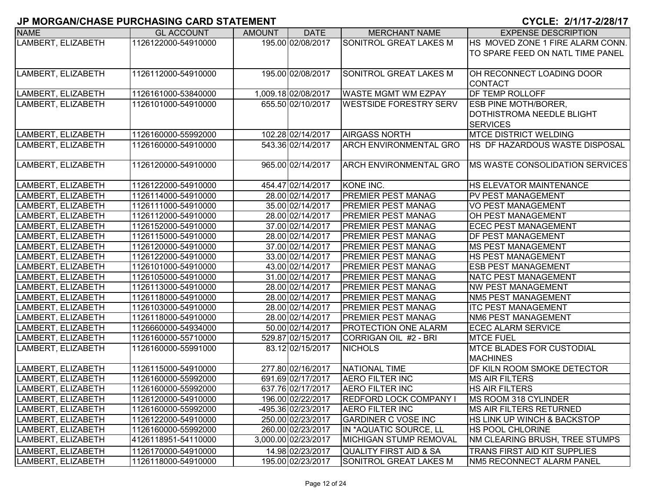| <b>NAME</b>        | <b>GL ACCOUNT</b>   | <b>AMOUNT</b> | <b>DATE</b>         | <b>MERCHANT NAME</b>          | <b>EXPENSE DESCRIPTION</b>       |
|--------------------|---------------------|---------------|---------------------|-------------------------------|----------------------------------|
| LAMBERT, ELIZABETH | 1126122000-54910000 |               | 195.00 02/08/2017   | SONITROL GREAT LAKES M        | HS MOVED ZONE 1 FIRE ALARM CONN. |
|                    |                     |               |                     |                               | TO SPARE FEED ON NATL TIME PANEL |
|                    |                     |               |                     |                               |                                  |
| LAMBERT, ELIZABETH | 1126112000-54910000 |               | 195.00 02/08/2017   | <b>SONITROL GREAT LAKES M</b> | OH RECONNECT LOADING DOOR        |
|                    |                     |               |                     |                               | <b>CONTACT</b>                   |
| LAMBERT, ELIZABETH | 1126161000-53840000 |               | 1,009.18 02/08/2017 | <b>WASTE MGMT WM EZPAY</b>    | DF TEMP ROLLOFF                  |
| LAMBERT, ELIZABETH | 1126101000-54910000 |               | 655.50 02/10/2017   | <b>WESTSIDE FORESTRY SERV</b> | <b>ESB PINE MOTH/BORER,</b>      |
|                    |                     |               |                     |                               | DOTHISTROMA NEEDLE BLIGHT        |
|                    |                     |               |                     |                               | <b>SERVICES</b>                  |
| LAMBERT, ELIZABETH | 1126160000-55992000 |               | 102.28 02/14/2017   | <b>AIRGASS NORTH</b>          | <b>MTCE DISTRICT WELDING</b>     |
| LAMBERT, ELIZABETH | 1126160000-54910000 |               | 543.36 02/14/2017   | <b>ARCH ENVIRONMENTAL GRO</b> | HS DF HAZARDOUS WASTE DISPOSAL   |
|                    |                     |               |                     |                               |                                  |
| LAMBERT, ELIZABETH | 1126120000-54910000 |               | 965.00 02/14/2017   | <b>ARCH ENVIRONMENTAL GRO</b> | MS WASTE CONSOLIDATION SERVICES  |
|                    |                     |               |                     |                               |                                  |
| LAMBERT, ELIZABETH | 1126122000-54910000 |               | 454.47 02/14/2017   | KONE INC.                     | HS ELEVATOR MAINTENANCE          |
| LAMBERT, ELIZABETH | 1126114000-54910000 |               | 28.00 02/14/2017    | <b>PREMIER PEST MANAG</b>     | PV PEST MANAGEMENT               |
| LAMBERT, ELIZABETH | 1126111000-54910000 |               | 35.00 02/14/2017    | <b>PREMIER PEST MANAG</b>     | <b>VO PEST MANAGEMENT</b>        |
| LAMBERT, ELIZABETH | 1126112000-54910000 |               | 28.00 02/14/2017    | <b>PREMIER PEST MANAG</b>     | OH PEST MANAGEMENT               |
| LAMBERT, ELIZABETH | 1126152000-54910000 |               | 37.00 02/14/2017    | <b>PREMIER PEST MANAG</b>     | <b>ECEC PEST MANAGEMENT</b>      |
| LAMBERT, ELIZABETH | 1126115000-54910000 |               | 28.00 02/14/2017    | <b>PREMIER PEST MANAG</b>     | DF PEST MANAGEMENT               |
| LAMBERT, ELIZABETH | 1126120000-54910000 |               | 37.00 02/14/2017    | <b>PREMIER PEST MANAG</b>     | <b>MS PEST MANAGEMENT</b>        |
| LAMBERT, ELIZABETH | 1126122000-54910000 |               | 33.00 02/14/2017    | <b>PREMIER PEST MANAG</b>     | HS PEST MANAGEMENT               |
| LAMBERT, ELIZABETH | 1126101000-54910000 |               | 43.00 02/14/2017    | <b>PREMIER PEST MANAG</b>     | <b>ESB PEST MANAGEMENT</b>       |
| LAMBERT, ELIZABETH | 1126105000-54910000 |               | 31.00 02/14/2017    | <b>PREMIER PEST MANAG</b>     | NATC PEST MANAGEMENT             |
| LAMBERT, ELIZABETH | 1126113000-54910000 |               | 28.00 02/14/2017    | <b>PREMIER PEST MANAG</b>     | <b>NW PEST MANAGEMENT</b>        |
| LAMBERT, ELIZABETH | 1126118000-54910000 |               | 28.00 02/14/2017    | <b>PREMIER PEST MANAG</b>     | <b>NM5 PEST MANAGEMENT</b>       |
| LAMBERT, ELIZABETH | 1126103000-54910000 |               | 28.00 02/14/2017    | <b>PREMIER PEST MANAG</b>     | <b>ITC PEST MANAGEMENT</b>       |
| LAMBERT, ELIZABETH | 1126118000-54910000 |               | 28.00 02/14/2017    | <b>PREMIER PEST MANAG</b>     | NM6 PEST MANAGEMENT              |
| LAMBERT, ELIZABETH | 1126660000-54934000 |               | 50.00 02/14/2017    | <b>PROTECTION ONE ALARM</b>   | <b>ECEC ALARM SERVICE</b>        |
| LAMBERT, ELIZABETH | 1126160000-55710000 |               | 529.87 02/15/2017   | CORRIGAN OIL #2 - BRI         | <b>MTCE FUEL</b>                 |
| LAMBERT, ELIZABETH | 1126160000-55991000 |               | 83.12 02/15/2017    | <b>NICHOLS</b>                | <b>MTCE BLADES FOR CUSTODIAL</b> |
|                    |                     |               |                     |                               | <b>MACHINES</b>                  |
| LAMBERT, ELIZABETH | 1126115000-54910000 |               | 277.80 02/16/2017   | NATIONAL TIME                 | DF KILN ROOM SMOKE DETECTOR      |
| LAMBERT, ELIZABETH | 1126160000-55992000 |               | 691.69 02/17/2017   | <b>AERO FILTER INC</b>        | <b>MS AIR FILTERS</b>            |
| LAMBERT, ELIZABETH | 1126160000-55992000 |               | 637.76 02/17/2017   | <b>AERO FILTER INC</b>        | <b>HS AIR FILTERS</b>            |
| LAMBERT, ELIZABETH | 1126120000-54910000 |               | 196.00 02/22/2017   | <b>REDFORD LOCK COMPANY I</b> | MS ROOM 318 CYLINDER             |
| LAMBERT, ELIZABETH | 1126160000-55992000 |               | -495.36 02/23/2017  | <b>AERO FILTER INC</b>        | <b>MS AIR FILTERS RETURNED</b>   |
| LAMBERT, ELIZABETH | 1126122000-54910000 |               | 250.00 02/23/2017   | <b>GARDINER C VOSE INC</b>    | HS LINK UP WINCH & BACKSTOP      |
| LAMBERT, ELIZABETH | 1126160000-55992000 |               | 260.00 02/23/2017   | IN *AQUATIC SOURCE, LL        | HS POOL CHLORINE                 |
| LAMBERT, ELIZABETH | 4126118951-54110000 |               | 3,000.00 02/23/2017 | MICHIGAN STUMP REMOVAL        | NM CLEARING BRUSH, TREE STUMPS   |
| LAMBERT, ELIZABETH | 1126170000-54910000 |               | 14.98 02/23/2017    | QUALITY FIRST AID & SA        | TRANS FIRST AID KIT SUPPLIES     |
| LAMBERT, ELIZABETH | 1126118000-54910000 |               | 195.00 02/23/2017   | SONITROL GREAT LAKES M        | NM5 RECONNECT ALARM PANEL        |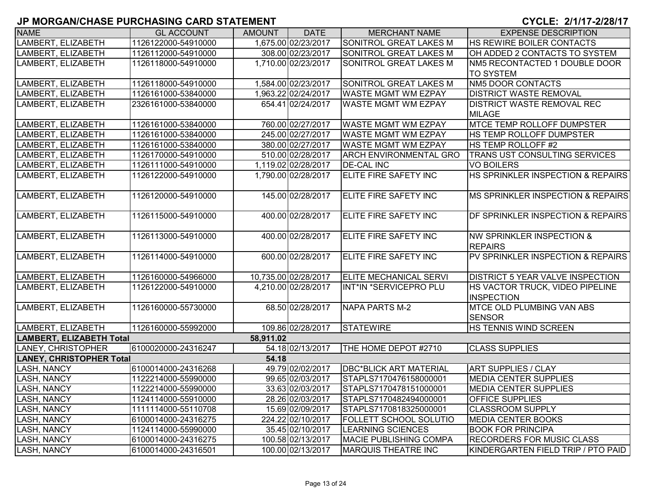| <b>NAME</b>                     | <b>GL ACCOUNT</b>   | AMOUNT    | <b>DATE</b>          | MERCHANT NAME                 | <b>EXPENSE DESCRIPTION</b>                           |
|---------------------------------|---------------------|-----------|----------------------|-------------------------------|------------------------------------------------------|
| LAMBERT, ELIZABETH              | 1126122000-54910000 |           | 1,675.00 02/23/2017  | <b>SONITROL GREAT LAKES M</b> | HS REWIRE BOILER CONTACTS                            |
| LAMBERT, ELIZABETH              | 1126112000-54910000 |           | 308.00 02/23/2017    | SONITROL GREAT LAKES M        | OH ADDED 2 CONTACTS TO SYSTEM                        |
| LAMBERT, ELIZABETH              | 1126118000-54910000 |           | 1,710.00 02/23/2017  | SONITROL GREAT LAKES M        | NM5 RECONTACTED 1 DOUBLE DOOR                        |
|                                 |                     |           |                      |                               | <b>TO SYSTEM</b>                                     |
| LAMBERT, ELIZABETH              | 1126118000-54910000 |           | 1,584.00 02/23/2017  | <b>SONITROL GREAT LAKES M</b> | <b>NM5 DOOR CONTACTS</b>                             |
| LAMBERT, ELIZABETH              | 1126161000-53840000 |           | 1,963.22 02/24/2017  | <b>WASTE MGMT WM EZPAY</b>    | <b>DISTRICT WASTE REMOVAL</b>                        |
| LAMBERT, ELIZABETH              | 2326161000-53840000 |           | 654.41 02/24/2017    | <b>WASTE MGMT WM EZPAY</b>    | <b>DISTRICT WASTE REMOVAL REC</b>                    |
|                                 |                     |           |                      |                               | <b>MILAGE</b>                                        |
| LAMBERT, ELIZABETH              | 1126161000-53840000 |           | 760.00 02/27/2017    | <b>WASTE MGMT WM EZPAY</b>    | <b>MTCE TEMP ROLLOFF DUMPSTER</b>                    |
| LAMBERT, ELIZABETH              | 1126161000-53840000 |           | 245.00 02/27/2017    | <b>WASTE MGMT WM EZPAY</b>    | HS TEMP ROLLOFF DUMPSTER                             |
| LAMBERT, ELIZABETH              | 1126161000-53840000 |           | 380.00 02/27/2017    | <b>WASTE MGMT WM EZPAY</b>    | HS TEMP ROLLOFF #2                                   |
| LAMBERT, ELIZABETH              | 1126170000-54910000 |           | 510.00 02/28/2017    | <b>ARCH ENVIRONMENTAL GRO</b> | <b>TRANS UST CONSULTING SERVICES</b>                 |
| LAMBERT, ELIZABETH              | 1126111000-54910000 |           | 1,119.02 02/28/2017  | <b>DE-CAL INC</b>             | <b>VO BOILERS</b>                                    |
| LAMBERT, ELIZABETH              | 1126122000-54910000 |           | 1,790.00 02/28/2017  | ELITE FIRE SAFETY INC         | <b>HS SPRINKLER INSPECTION &amp; REPAIRS</b>         |
| LAMBERT, ELIZABETH              | 1126120000-54910000 |           | 145.00 02/28/2017    | ELITE FIRE SAFETY INC         | MS SPRINKLER INSPECTION & REPAIRS                    |
|                                 |                     |           |                      |                               |                                                      |
| LAMBERT, ELIZABETH              | 1126115000-54910000 |           | 400.00 02/28/2017    | ELITE FIRE SAFETY INC         | DF SPRINKLER INSPECTION & REPAIRS                    |
| LAMBERT, ELIZABETH              | 1126113000-54910000 |           | 400.00 02/28/2017    | ELITE FIRE SAFETY INC         | <b>NW SPRINKLER INSPECTION &amp;</b>                 |
|                                 |                     |           |                      |                               | <b>REPAIRS</b>                                       |
| LAMBERT, ELIZABETH              | 1126114000-54910000 |           | 600.00 02/28/2017    | ELITE FIRE SAFETY INC         | PV SPRINKLER INSPECTION & REPAIRS                    |
|                                 |                     |           |                      |                               |                                                      |
| LAMBERT, ELIZABETH              | 1126160000-54966000 |           | 10,735.00 02/28/2017 | ELITE MECHANICAL SERVI        | <b>DISTRICT 5 YEAR VALVE INSPECTION</b>              |
| LAMBERT, ELIZABETH              | 1126122000-54910000 |           | 4,210.00 02/28/2017  | INT*IN *SERVICEPRO PLU        | HS VACTOR TRUCK, VIDEO PIPELINE<br><b>INSPECTION</b> |
| LAMBERT, ELIZABETH              | 1126160000-55730000 |           | 68.50 02/28/2017     | <b>NAPA PARTS M-2</b>         | <b>MTCE OLD PLUMBING VAN ABS</b>                     |
|                                 |                     |           |                      |                               | <b>SENSOR</b>                                        |
| LAMBERT, ELIZABETH              | 1126160000-55992000 |           | 109.86 02/28/2017    | <b>STATEWIRE</b>              | <b>HS TENNIS WIND SCREEN</b>                         |
| <b>LAMBERT, ELIZABETH Total</b> |                     | 58,911.02 |                      |                               |                                                      |
| LANEY, CHRISTOPHER              | 6100020000-24316247 |           | 54.18 02/13/2017     | THE HOME DEPOT #2710          | <b>CLASS SUPPLIES</b>                                |
| <b>LANEY, CHRISTOPHER Total</b> |                     | 54.18     |                      |                               |                                                      |
| <b>LASH, NANCY</b>              | 6100014000-24316268 |           | 49.79 02/02/2017     | <b>DBC*BLICK ART MATERIAL</b> | <b>ART SUPPLIES / CLAY</b>                           |
| <b>LASH, NANCY</b>              | 1122214000-55990000 |           | 99.65 02/03/2017     | STAPLS7170476158000001        | <b>MEDIA CENTER SUPPLIES</b>                         |
| <b>LASH, NANCY</b>              | 1122214000-55990000 |           | 33.63 02/03/2017     | STAPLS7170478151000001        | <b>MEDIA CENTER SUPPLIES</b>                         |
| LASH, NANCY                     | 1124114000-55910000 |           | 28.26 02/03/2017     | STAPLS7170482494000001        | <b>OFFICE SUPPLIES</b>                               |
| <b>LASH, NANCY</b>              | 1111114000-55110708 |           | 15.69 02/09/2017     | STAPLS7170818325000001        | <b>CLASSROOM SUPPLY</b>                              |
| <b>LASH, NANCY</b>              | 6100014000-24316275 |           | 224.22 02/10/2017    | <b>FOLLETT SCHOOL SOLUTIO</b> | <b>MEDIA CENTER BOOKS</b>                            |
| <b>LASH, NANCY</b>              | 1124114000-55990000 |           | 35.45 02/10/2017     | <b>LEARNING SCIENCES</b>      | <b>BOOK FOR PRINCIPA</b>                             |
| LASH, NANCY                     | 6100014000-24316275 |           | 100.58 02/13/2017    | <b>MACIE PUBLISHING COMPA</b> | <b>RECORDERS FOR MUSIC CLASS</b>                     |
| <b>LASH, NANCY</b>              | 6100014000-24316501 |           | 100.00 02/13/2017    | <b>MARQUIS THEATRE INC</b>    | KINDERGARTEN FIELD TRIP / PTO PAID                   |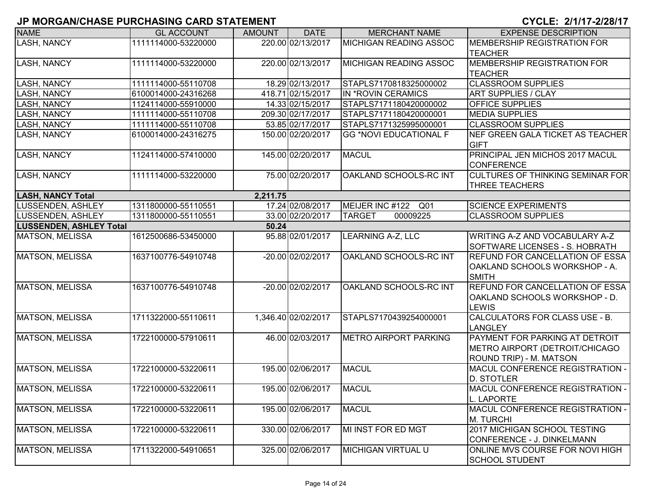| <b>NAME</b>                    | <b>GL ACCOUNT</b>   | <b>AMOUNT</b> | <b>DATE</b>         | <b>MERCHANT NAME</b>               | <b>EXPENSE DESCRIPTION</b>                                                                  |
|--------------------------------|---------------------|---------------|---------------------|------------------------------------|---------------------------------------------------------------------------------------------|
| <b>LASH, NANCY</b>             | 1111114000-53220000 |               | 220.00 02/13/2017   | <b>MICHIGAN READING ASSOC</b>      | MEMBERSHIP REGISTRATION FOR<br><b>TEACHER</b>                                               |
| <b>LASH, NANCY</b>             | 1111114000-53220000 |               | 220.00 02/13/2017   | <b>MICHIGAN READING ASSOC</b>      | MEMBERSHIP REGISTRATION FOR<br><b>TEACHER</b>                                               |
| <b>LASH, NANCY</b>             | 1111114000-55110708 |               | 18.29 02/13/2017    | STAPLS7170818325000002             | <b>CLASSROOM SUPPLIES</b>                                                                   |
| <b>LASH, NANCY</b>             | 6100014000-24316268 |               | 418.71 02/15/2017   | IN *ROVIN CERAMICS                 | <b>ART SUPPLIES / CLAY</b>                                                                  |
| <b>LASH, NANCY</b>             | 1124114000-55910000 |               | 14.33 02/15/2017    | STAPLS7171180420000002             | OFFICE SUPPLIES                                                                             |
| <b>LASH, NANCY</b>             | 1111114000-55110708 |               | 209.30 02/17/2017   | STAPLS7171180420000001             | <b>MEDIA SUPPLIES</b>                                                                       |
| <b>LASH, NANCY</b>             | 1111114000-55110708 |               | 53.85 02/17/2017    | STAPLS7171325995000001             | <b>CLASSROOM SUPPLIES</b>                                                                   |
| LASH, NANCY                    | 6100014000-24316275 |               | 150.00 02/20/2017   | <b>GG *NOVI EDUCATIONAL F</b>      | NEF GREEN GALA TICKET AS TEACHER<br><b>GIFT</b>                                             |
| <b>LASH, NANCY</b>             | 1124114000-57410000 |               | 145.00 02/20/2017   | <b>MACUL</b>                       | PRINCIPAL JEN MICHOS 2017 MACUL<br><b>CONFERENCE</b>                                        |
| LASH, NANCY                    | 1111114000-53220000 |               | 75.00 02/20/2017    | OAKLAND SCHOOLS-RC INT             | <b>CULTURES OF THINKING SEMINAR FOR</b><br><b>THREE TEACHERS</b>                            |
| <b>LASH, NANCY Total</b>       |                     | 2,211.75      |                     |                                    |                                                                                             |
| LUSSENDEN, ASHLEY              | 1311800000-55110551 |               | 17.24 02/08/2017    | MEIJER INC #122<br>Q <sub>01</sub> | <b>SCIENCE EXPERIMENTS</b>                                                                  |
| <b>LUSSENDEN, ASHLEY</b>       | 1311800000-55110551 |               | 33.00 02/20/2017    | <b>TARGET</b><br>00009225          | <b>CLASSROOM SUPPLIES</b>                                                                   |
| <b>LUSSENDEN, ASHLEY Total</b> |                     | 50.24         |                     |                                    |                                                                                             |
| <b>MATSON, MELISSA</b>         | 1612500686-53450000 |               | 95.88 02/01/2017    | LEARNING A-Z, LLC                  | WRITING A-Z AND VOCABULARY A-Z<br>SOFTWARE LICENSES - S. HOBRATH                            |
| <b>MATSON, MELISSA</b>         | 1637100776-54910748 |               | -20.00 02/02/2017   | OAKLAND SCHOOLS-RC INT             | <b>REFUND FOR CANCELLATION OF ESSA</b><br>OAKLAND SCHOOLS WORKSHOP - A.<br><b>SMITH</b>     |
| <b>MATSON, MELISSA</b>         | 1637100776-54910748 |               | -20.00 02/02/2017   | OAKLAND SCHOOLS-RC INT             | REFUND FOR CANCELLATION OF ESSA<br>OAKLAND SCHOOLS WORKSHOP - D.<br><b>LEWIS</b>            |
| <b>MATSON, MELISSA</b>         | 1711322000-55110611 |               | 1,346.40 02/02/2017 | STAPLS7170439254000001             | CALCULATORS FOR CLASS USE - B.<br><b>LANGLEY</b>                                            |
| <b>MATSON, MELISSA</b>         | 1722100000-57910611 |               | 46.00 02/03/2017    | <b>METRO AIRPORT PARKING</b>       | PAYMENT FOR PARKING AT DETROIT<br>METRO AIRPORT (DETROIT/CHICAGO<br>ROUND TRIP) - M. MATSON |
| MATSON, MELISSA                | 1722100000-53220611 |               | 195.00 02/06/2017   | <b>MACUL</b>                       | MACUL CONFERENCE REGISTRATION -<br><b>D. STOTLER</b>                                        |
| MATSON, MELISSA                | 1722100000-53220611 |               | 195.00 02/06/2017   | <b>MACUL</b>                       | MACUL CONFERENCE REGISTRATION -<br><b>L. LAPORTE</b>                                        |
| <b>MATSON, MELISSA</b>         | 1722100000-53220611 |               | 195.00 02/06/2017   | <b>MACUL</b>                       | MACUL CONFERENCE REGISTRATION -<br>M. TURCHI                                                |
| MATSON, MELISSA                | 1722100000-53220611 |               | 330.00 02/06/2017   | MI INST FOR ED MGT                 | 2017 MICHIGAN SCHOOL TESTING<br>CONFERENCE - J. DINKELMANN                                  |
| MATSON, MELISSA                | 1711322000-54910651 |               | 325.00 02/06/2017   | <b>MICHIGAN VIRTUAL U</b>          | ONLINE MVS COURSE FOR NOVI HIGH<br><b>SCHOOL STUDENT</b>                                    |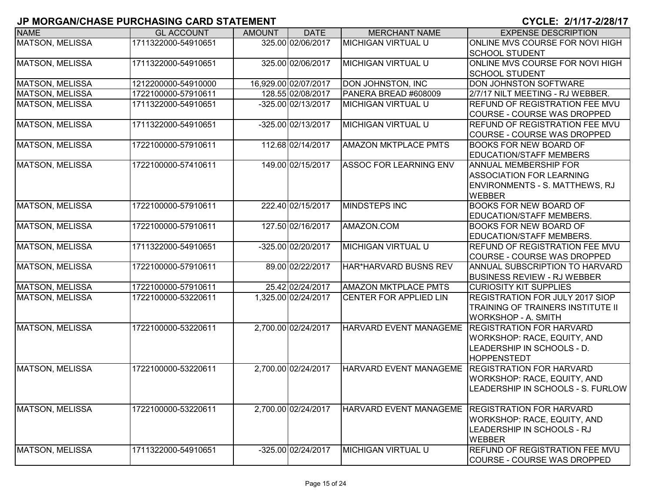| <b>NAME</b>            | <b>GL ACCOUNT</b>   | <b>AMOUNT</b> | <b>DATE</b>          | <b>MERCHANT NAME</b>               | <b>EXPENSE DESCRIPTION</b>                      |
|------------------------|---------------------|---------------|----------------------|------------------------------------|-------------------------------------------------|
| <b>MATSON, MELISSA</b> | 1711322000-54910651 |               | 325.00 02/06/2017    | <b>MICHIGAN VIRTUAL U</b>          | <b>ONLINE MVS COURSE FOR NOVI HIGH</b>          |
|                        |                     |               |                      |                                    | <b>SCHOOL STUDENT</b>                           |
| <b>MATSON, MELISSA</b> | 1711322000-54910651 |               | 325.00 02/06/2017    | <b>MICHIGAN VIRTUAL U</b>          | ONLINE MVS COURSE FOR NOVI HIGH                 |
|                        |                     |               |                      |                                    | <b>SCHOOL STUDENT</b>                           |
| <b>MATSON, MELISSA</b> | 1212200000-54910000 |               | 16,929.00 02/07/2017 | DON JOHNSTON, INC                  | DON JOHNSTON SOFTWARE                           |
| <b>MATSON, MELISSA</b> | 1722100000-57910611 |               | 128.55 02/08/2017    | PANERA BREAD #608009               | 2/7/17 NILT MEETING - RJ WEBBER.                |
| <b>MATSON, MELISSA</b> | 1711322000-54910651 |               | -325.00 02/13/2017   | <b>MICHIGAN VIRTUAL U</b>          | REFUND OF REGISTRATION FEE MVU                  |
|                        |                     |               |                      |                                    | <b>COURSE - COURSE WAS DROPPED</b>              |
| <b>MATSON, MELISSA</b> | 1711322000-54910651 |               | -325.00 02/13/2017   | <b>MICHIGAN VIRTUAL U</b>          | <b>REFUND OF REGISTRATION FEE MVU</b>           |
|                        |                     |               |                      |                                    | COURSE - COURSE WAS DROPPED                     |
| <b>MATSON, MELISSA</b> | 1722100000-57910611 |               | 112.68 02/14/2017    | <b>AMAZON MKTPLACE PMTS</b>        | <b>BOOKS FOR NEW BOARD OF</b>                   |
|                        |                     |               |                      |                                    | <b>EDUCATION/STAFF MEMBERS</b>                  |
| <b>MATSON, MELISSA</b> | 1722100000-57410611 |               | 149.00 02/15/2017    | <b>ASSOC FOR LEARNING ENV</b>      | <b>ANNUAL MEMBERSHIP FOR</b>                    |
|                        |                     |               |                      |                                    | <b>ASSOCIATION FOR LEARNING</b>                 |
|                        |                     |               |                      |                                    | ENVIRONMENTS - S. MATTHEWS, RJ                  |
|                        |                     |               |                      |                                    | <b>WEBBER</b>                                   |
| <b>MATSON, MELISSA</b> | 1722100000-57910611 |               | 222.40 02/15/2017    | <b>MINDSTEPS INC</b>               | <b>BOOKS FOR NEW BOARD OF</b>                   |
|                        |                     |               |                      |                                    | EDUCATION/STAFF MEMBERS.                        |
| <b>MATSON, MELISSA</b> | 1722100000-57910611 |               | 127.50 02/16/2017    | AMAZON.COM                         | <b>BOOKS FOR NEW BOARD OF</b>                   |
|                        |                     |               |                      |                                    | EDUCATION/STAFF MEMBERS.                        |
| <b>MATSON, MELISSA</b> | 1711322000-54910651 |               | -325.00 02/20/2017   | <b>MICHIGAN VIRTUAL U</b>          | <b>REFUND OF REGISTRATION FEE MVU</b>           |
|                        |                     |               |                      |                                    | <b>COURSE - COURSE WAS DROPPED</b>              |
| <b>MATSON, MELISSA</b> | 1722100000-57910611 |               | 89.00 02/22/2017     | HAR <sup>*</sup> HARVARD BUSNS REV | ANNUAL SUBSCRIPTION TO HARVARD                  |
|                        |                     |               |                      |                                    | <b>BUSINESS REVIEW - RJ WEBBER</b>              |
| MATSON, MELISSA        | 1722100000-57910611 |               | 25.42 02/24/2017     | <b>AMAZON MKTPLACE PMTS</b>        | <b>CURIOSITY KIT SUPPLIES</b>                   |
| <b>MATSON, MELISSA</b> | 1722100000-53220611 |               | 1,325.00 02/24/2017  | CENTER FOR APPLIED LIN             | <b>REGISTRATION FOR JULY 2017 SIOP</b>          |
|                        |                     |               |                      |                                    | <b>TRAINING OF TRAINERS INSTITUTE II</b>        |
|                        |                     |               |                      |                                    | WORKSHOP - A. SMITH                             |
| MATSON, MELISSA        | 1722100000-53220611 |               | 2,700.00 02/24/2017  | <b>HARVARD EVENT MANAGEME</b>      | <b>REGISTRATION FOR HARVARD</b>                 |
|                        |                     |               |                      |                                    | <b>WORKSHOP: RACE, EQUITY, AND</b>              |
|                        |                     |               |                      |                                    | LEADERSHIP IN SCHOOLS - D.                      |
|                        |                     |               |                      |                                    | HOPPENSTEDT                                     |
| MATSON, MELISSA        | 1722100000-53220611 |               | 2,700.00 02/24/2017  | HARVARD EVENT MANAGEME             | <b>REGISTRATION FOR HARVARD</b>                 |
|                        |                     |               |                      |                                    | <b>WORKSHOP: RACE, EQUITY, AND</b>              |
|                        |                     |               |                      |                                    | LEADERSHIP IN SCHOOLS - S. FURLOW               |
| <b>MATSON, MELISSA</b> | 1722100000-53220611 |               | 2,700.00 02/24/2017  |                                    | HARVARD EVENT MANAGEME REGISTRATION FOR HARVARD |
|                        |                     |               |                      |                                    | <b>WORKSHOP: RACE, EQUITY, AND</b>              |
|                        |                     |               |                      |                                    |                                                 |
|                        |                     |               |                      |                                    | LEADERSHIP IN SCHOOLS - RJ<br><b>WEBBER</b>     |
| MATSON, MELISSA        | 1711322000-54910651 |               | -325.00 02/24/2017   | MICHIGAN VIRTUAL U                 | <b>REFUND OF REGISTRATION FEE MVU</b>           |
|                        |                     |               |                      |                                    | ICOURSE - COURSE WAS DROPPED                    |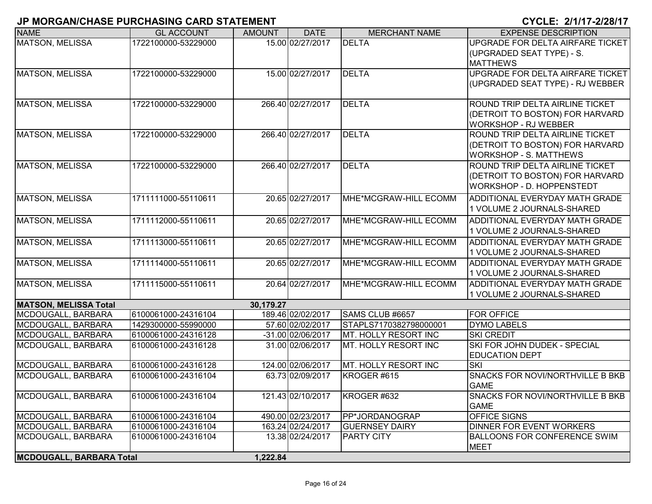| <b>NAME</b>                     | <b>GL ACCOUNT</b>   | <b>AMOUNT</b> | <b>DATE</b>       | <b>MERCHANT NAME</b>            | <b>EXPENSE DESCRIPTION</b>                                          |
|---------------------------------|---------------------|---------------|-------------------|---------------------------------|---------------------------------------------------------------------|
| <b>MATSON, MELISSA</b>          | 1722100000-53229000 |               | 15.00 02/27/2017  | <b>DELTA</b>                    | UPGRADE FOR DELTA AIRFARE TICKET                                    |
|                                 |                     |               |                   |                                 | (UPGRADED SEAT TYPE) - S.                                           |
|                                 |                     |               |                   |                                 | <b>MATTHEWS</b>                                                     |
| <b>MATSON, MELISSA</b>          | 1722100000-53229000 |               | 15.00 02/27/2017  | <b>DELTA</b>                    | UPGRADE FOR DELTA AIRFARE TICKET                                    |
|                                 |                     |               |                   |                                 | (UPGRADED SEAT TYPE) - RJ WEBBER                                    |
| MATSON, MELISSA                 | 1722100000-53229000 |               | 266.40 02/27/2017 | <b>DELTA</b>                    | ROUND TRIP DELTA AIRLINE TICKET                                     |
|                                 |                     |               |                   |                                 | (DETROIT TO BOSTON) FOR HARVARD                                     |
|                                 |                     |               |                   |                                 | <b>WORKSHOP - RJ WEBBER</b>                                         |
| MATSON, MELISSA                 | 1722100000-53229000 |               | 266.40 02/27/2017 | <b>DELTA</b>                    | ROUND TRIP DELTA AIRLINE TICKET                                     |
|                                 |                     |               |                   |                                 | (DETROIT TO BOSTON) FOR HARVARD                                     |
|                                 |                     |               |                   |                                 | <b>WORKSHOP - S. MATTHEWS</b>                                       |
| MATSON, MELISSA                 | 1722100000-53229000 |               | 266.40 02/27/2017 | <b>DELTA</b>                    | ROUND TRIP DELTA AIRLINE TICKET                                     |
|                                 |                     |               |                   |                                 | (DETROIT TO BOSTON) FOR HARVARD                                     |
|                                 |                     |               |                   |                                 | WORKSHOP - D. HOPPENSTEDT                                           |
| <b>MATSON, MELISSA</b>          | 1711111000-55110611 |               | 20.65 02/27/2017  | MHE*MCGRAW-HILL ECOMM           | <b>ADDITIONAL EVERYDAY MATH GRADE</b>                               |
|                                 |                     |               |                   |                                 | 1 VOLUME 2 JOURNALS-SHARED                                          |
| MATSON, MELISSA                 | 1711112000-55110611 |               | 20.65 02/27/2017  | MHE*MCGRAW-HILL ECOMM           | <b>ADDITIONAL EVERYDAY MATH GRADE</b>                               |
|                                 |                     |               |                   |                                 | 1 VOLUME 2 JOURNALS-SHARED                                          |
| MATSON, MELISSA                 | 1711113000-55110611 |               | 20.65 02/27/2017  | MHE*MCGRAW-HILL ECOMM           | <b>ADDITIONAL EVERYDAY MATH GRADE</b>                               |
|                                 |                     |               |                   |                                 | 1 VOLUME 2 JOURNALS-SHARED                                          |
| MATSON, MELISSA                 | 1711114000-55110611 |               | 20.65 02/27/2017  | MHE*MCGRAW-HILL ECOMM           | ADDITIONAL EVERYDAY MATH GRADE                                      |
|                                 |                     |               | 20.64 02/27/2017  | MHE*MCGRAW-HILL ECOMM           | 1 VOLUME 2 JOURNALS-SHARED<br><b>ADDITIONAL EVERYDAY MATH GRADE</b> |
| MATSON, MELISSA                 | 1711115000-55110611 |               |                   |                                 | 1 VOLUME 2 JOURNALS-SHARED                                          |
| <b>MATSON, MELISSA Total</b>    |                     | 30,179.27     |                   |                                 |                                                                     |
| MCDOUGALL, BARBARA              | 6100061000-24316104 |               | 189.46 02/02/2017 | SAMS CLUB #6657                 | <b>FOR OFFICE</b>                                                   |
| MCDOUGALL, BARBARA              | 1429300000-55990000 |               | 57.60 02/02/2017  | STAPLS7170382798000001          | <b>DYMO LABELS</b>                                                  |
| MCDOUGALL, BARBARA              | 6100061000-24316128 |               | -31.00 02/06/2017 | MT. HOLLY RESORT INC            | <b>SKI CREDIT</b>                                                   |
| MCDOUGALL, BARBARA              | 6100061000-24316128 |               | 31.00 02/06/2017  | MT. HOLLY RESORT INC            | SKI FOR JOHN DUDEK - SPECIAL                                        |
|                                 |                     |               |                   |                                 | <b>EDUCATION DEPT</b>                                               |
| MCDOUGALL, BARBARA              | 6100061000-24316128 |               | 124.00 02/06/2017 | MT. HOLLY RESORT INC            | <b>SKI</b>                                                          |
| MCDOUGALL, BARBARA              | 6100061000-24316104 |               | 63.73 02/09/2017  | KROGER #615                     | <b>SNACKS FOR NOVI/NORTHVILLE B BKB</b>                             |
|                                 |                     |               |                   |                                 | <b>GAME</b>                                                         |
| MCDOUGALL, BARBARA              | 6100061000-24316104 |               |                   | 121.43 02/10/2017   KROGER #632 | SNACKS FOR NOVI/NORTHVILLE B BKB<br><b>GAME</b>                     |
| MCDOUGALL, BARBARA              | 6100061000-24316104 |               | 490.00 02/23/2017 | PP*JORDANOGRAP                  | <b>OFFICE SIGNS</b>                                                 |
| MCDOUGALL, BARBARA              | 6100061000-24316104 |               | 163.24 02/24/2017 | <b>GUERNSEY DAIRY</b>           | <b>DINNER FOR EVENT WORKERS</b>                                     |
| MCDOUGALL, BARBARA              | 6100061000-24316104 |               | 13.38 02/24/2017  | <b>PARTY CITY</b>               | <b>BALLOONS FOR CONFERENCE SWIM</b>                                 |
|                                 |                     |               |                   |                                 | <b>MEET</b>                                                         |
| <b>MCDOUGALL, BARBARA Total</b> |                     | 1,222.84      |                   |                                 |                                                                     |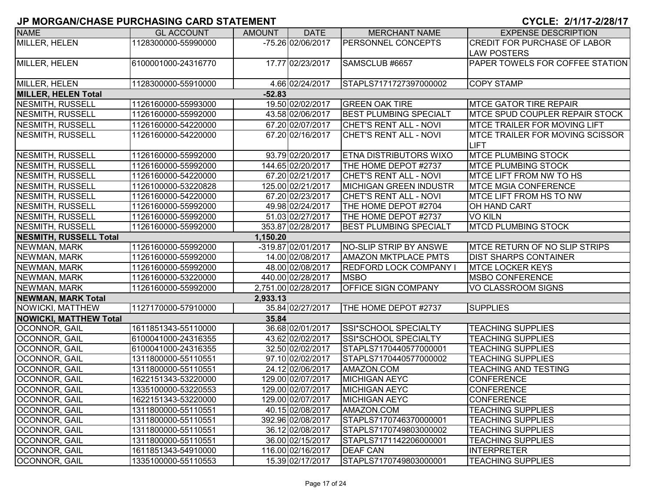| <b>NAME</b>                   | <b>GL ACCOUNT</b>   | <b>AMOUNT</b> | <b>DATE</b>         | <b>MERCHANT NAME</b>          | <b>EXPENSE DESCRIPTION</b>              |
|-------------------------------|---------------------|---------------|---------------------|-------------------------------|-----------------------------------------|
| <b>MILLER, HELEN</b>          | 1128300000-55990000 |               | -75.26 02/06/2017   | <b>PERSONNEL CONCEPTS</b>     | <b>CREDIT FOR PURCHASE OF LABOR</b>     |
|                               |                     |               |                     |                               | <b>LAW POSTERS</b>                      |
| MILLER, HELEN                 | 6100001000-24316770 |               | 17.77 02/23/2017    | SAMSCLUB #6657                | <b>PAPER TOWELS FOR COFFEE STATION</b>  |
|                               |                     |               |                     |                               |                                         |
| MILLER, HELEN                 | 1128300000-55910000 |               | 4.66 02/24/2017     | STAPLS7171727397000002        | <b>COPY STAMP</b>                       |
| <b>MILLER, HELEN Total</b>    |                     | $-52.83$      |                     |                               |                                         |
| NESMITH, RUSSELL              | 1126160000-55993000 |               | 19.50 02/02/2017    | <b>GREEN OAK TIRE</b>         | <b>MTCE GATOR TIRE REPAIR</b>           |
| NESMITH, RUSSELL              | 1126160000-55992000 |               | 43.58 02/06/2017    | <b>BEST PLUMBING SPECIALT</b> | <b>MTCE SPUD COUPLER REPAIR STOCK</b>   |
| NESMITH, RUSSELL              | 1126160000-54220000 |               | 67.20 02/07/2017    | CHET'S RENT ALL - NOVI        | <b>IMTCE TRAILER FOR MOVING LIFT</b>    |
| NESMITH, RUSSELL              | 1126160000-54220000 |               | 67.20 02/16/2017    | CHET'S RENT ALL - NOVI        | <b>IMTCE TRAILER FOR MOVING SCISSOR</b> |
|                               |                     |               |                     |                               | ILIFT                                   |
| NESMITH, RUSSELL              | 1126160000-55992000 |               | 93.79 02/20/2017    | <b>ETNA DISTRIBUTORS WIXO</b> | <b>MTCE PLUMBING STOCK</b>              |
| NESMITH, RUSSELL              | 1126160000-55992000 |               | 144.65 02/20/2017   | THE HOME DEPOT #2737          | <b>MTCE PLUMBING STOCK</b>              |
| NESMITH, RUSSELL              | 1126160000-54220000 |               | 67.20 02/21/2017    | CHET'S RENT ALL - NOVI        | <b>MTCE LIFT FROM NW TO HS</b>          |
| NESMITH, RUSSELL              | 1126100000-53220828 |               | 125.00 02/21/2017   | <b>MICHIGAN GREEN INDUSTR</b> | <b>MTCE MGIA CONFERENCE</b>             |
| NESMITH, RUSSELL              | 1126160000-54220000 |               | 67.20 02/23/2017    | <b>CHET'S RENT ALL - NOVI</b> | <b>MTCE LIFT FROM HS TO NW</b>          |
| NESMITH, RUSSELL              | 1126160000-55992000 |               | 49.98 02/24/2017    | THE HOME DEPOT #2704          | <b>OH HAND CART</b>                     |
| <b>NESMITH, RUSSELL</b>       | 1126160000-55992000 |               | 51.03 02/27/2017    | THE HOME DEPOT #2737          | <b>VO KILN</b>                          |
| NESMITH, RUSSELL              | 1126160000-55992000 |               | 353.87 02/28/2017   | <b>BEST PLUMBING SPECIALT</b> | <b>MTCD PLUMBING STOCK</b>              |
| <b>NESMITH, RUSSELL Total</b> |                     | 1,150.20      |                     |                               |                                         |
| NEWMAN, MARK                  | 1126160000-55992000 |               | -319.87 02/01/2017  | NO-SLIP STRIP BY ANSWE        | <b>IMTCE RETURN OF NO SLIP STRIPS</b>   |
| NEWMAN, MARK                  | 1126160000-55992000 |               | 14.00 02/08/2017    | <b>AMAZON MKTPLACE PMTS</b>   | <b>IDIST SHARPS CONTAINER</b>           |
| NEWMAN, MARK                  | 1126160000-55992000 |               | 48.00 02/08/2017    | <b>REDFORD LOCK COMPANY</b>   | <b>MTCE LOCKER KEYS</b>                 |
| NEWMAN, MARK                  | 1126160000-53220000 |               | 440.00 02/28/2017   | <b>MSBO</b>                   | <b>MSBO CONFERENCE</b>                  |
| NEWMAN, MARK                  | 1126160000-55992000 |               | 2,751.00 02/28/2017 | <b>OFFICE SIGN COMPANY</b>    | VO CLASSROOM SIGNS                      |
| NEWMAN, MARK Total            |                     | 2,933.13      |                     |                               |                                         |
| NOWICKI, MATTHEW              | 1127170000-57910000 |               | 35.84 02/27/2017    | THE HOME DEPOT #2737          | <b>SUPPLIES</b>                         |
| <b>NOWICKI, MATTHEW Total</b> |                     | 35.84         |                     |                               |                                         |
| OCONNOR, GAIL                 | 1611851343-55110000 |               | 36.68 02/01/2017    | SSI*SCHOOL SPECIALTY          | <b>TEACHING SUPPLIES</b>                |
| OCONNOR, GAIL                 | 6100041000-24316355 |               | 43.62 02/02/2017    | SSI*SCHOOL SPECIALTY          | <b>TEACHING SUPPLIES</b>                |
| OCONNOR, GAIL                 | 6100041000-24316355 |               | 32.50 02/02/2017    | STAPLS7170440577000001        | <b>TEACHING SUPPLIES</b>                |
| <b>OCONNOR, GAIL</b>          | 1311800000-55110551 |               | 97.10 02/02/2017    | STAPLS7170440577000002        | <b>TEACHING SUPPLIES</b>                |
| <b>OCONNOR, GAIL</b>          | 1311800000-55110551 |               | 24.12 02/06/2017    | AMAZON.COM                    | <b>TEACHING AND TESTING</b>             |
| OCONNOR, GAIL                 | 1622151343-53220000 |               | 129.00 02/07/2017   | <b>MICHIGAN AEYC</b>          | <b>CONFERENCE</b>                       |
| <b>OCONNOR, GAIL</b>          | 1335100000-53220553 |               | 129.00 02/07/2017   | <b>MICHIGAN AEYC</b>          | <b>CONFERENCE</b>                       |
| <b>OCONNOR, GAIL</b>          | 1622151343-53220000 |               | 129.00 02/07/2017   | <b>MICHIGAN AEYC</b>          | <b>CONFERENCE</b>                       |
| <b>OCONNOR, GAIL</b>          | 1311800000-55110551 |               | 40.15 02/08/2017    | AMAZON.COM                    | <b>TEACHING SUPPLIES</b>                |
| OCONNOR, GAIL                 | 1311800000-55110551 |               | 392.96 02/08/2017   | STAPLS7170746370000001        | <b>TEACHING SUPPLIES</b>                |
| OCONNOR, GAIL                 | 1311800000-55110551 |               | 36.12 02/08/2017    | STAPLS7170749803000002        | <b>TEACHING SUPPLIES</b>                |
| <b>OCONNOR, GAIL</b>          | 1311800000-55110551 |               | 36.00 02/15/2017    | STAPLS7171142206000001        | <b>TEACHING SUPPLIES</b>                |
| OCONNOR, GAIL                 | 1611851343-54910000 |               | 116.00 02/16/2017   | <b>DEAF CAN</b>               | <b>INTERPRETER</b>                      |
| <b>OCONNOR, GAIL</b>          | 1335100000-55110553 |               | 15.39 02/17/2017    | STAPLS7170749803000001        | <b>TEACHING SUPPLIES</b>                |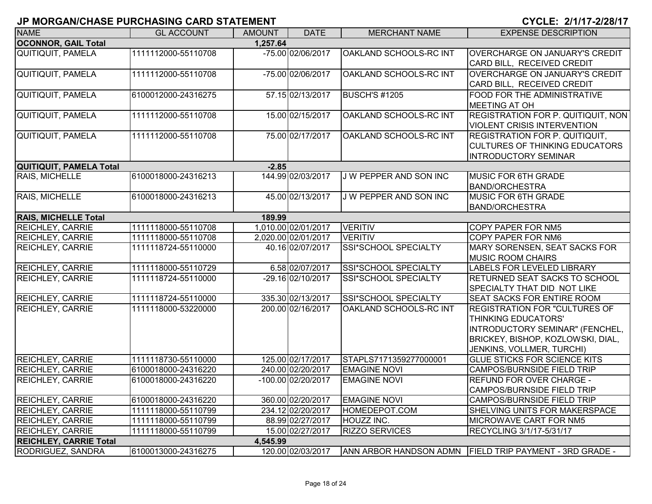| <b>NAME</b>                            | <b>GL ACCOUNT</b>   | <b>AMOUNT</b> | <b>DATE</b>         | <b>MERCHANT NAME</b>          | <b>EXPENSE DESCRIPTION</b>                                                                                                                                       |  |  |  |
|----------------------------------------|---------------------|---------------|---------------------|-------------------------------|------------------------------------------------------------------------------------------------------------------------------------------------------------------|--|--|--|
| <b>OCONNOR, GAIL Total</b><br>1,257.64 |                     |               |                     |                               |                                                                                                                                                                  |  |  |  |
| <b>QUITIQUIT, PAMELA</b>               | 1111112000-55110708 |               | -75.00 02/06/2017   | OAKLAND SCHOOLS-RC INT        | <b>OVERCHARGE ON JANUARY'S CREDIT</b><br>CARD BILL, RECEIVED CREDIT                                                                                              |  |  |  |
| <b>QUITIQUIT, PAMELA</b>               | 1111112000-55110708 |               | -75.00 02/06/2017   | OAKLAND SCHOOLS-RC INT        | OVERCHARGE ON JANUARY'S CREDIT<br>CARD BILL, RECEIVED CREDIT                                                                                                     |  |  |  |
| <b>QUITIQUIT, PAMELA</b>               | 6100012000-24316275 |               | 57.15 02/13/2017    | <b>BUSCH'S #1205</b>          | FOOD FOR THE ADMINISTRATIVE<br><b>MEETING AT OH</b>                                                                                                              |  |  |  |
| <b>QUITIQUIT, PAMELA</b>               | 1111112000-55110708 |               | 15.00 02/15/2017    | OAKLAND SCHOOLS-RC INT        | <b>REGISTRATION FOR P. QUITIQUIT, NON</b><br><b>VIOLENT CRISIS INTERVENTION</b>                                                                                  |  |  |  |
| QUITIQUIT, PAMELA                      | 1111112000-55110708 |               | 75.00 02/17/2017    | OAKLAND SCHOOLS-RC INT        | <b>REGISTRATION FOR P. QUITIQUIT,</b><br><b>CULTURES OF THINKING EDUCATORS</b><br><b>INTRODUCTORY SEMINAR</b>                                                    |  |  |  |
| QUITIQUIT, PAMELA Total                |                     | $-2.85$       |                     |                               |                                                                                                                                                                  |  |  |  |
| RAIS, MICHELLE                         | 6100018000-24316213 |               | 144.99 02/03/2017   | <b>JW PEPPER AND SON INC</b>  | <b>MUSIC FOR 6TH GRADE</b><br><b>BAND/ORCHESTRA</b>                                                                                                              |  |  |  |
| RAIS, MICHELLE                         | 6100018000-24316213 |               | 45.00 02/13/2017    | <b>J W PEPPER AND SON INC</b> | <b>MUSIC FOR 6TH GRADE</b><br><b>BAND/ORCHESTRA</b>                                                                                                              |  |  |  |
| <b>RAIS, MICHELLE Total</b>            |                     | 189.99        |                     |                               |                                                                                                                                                                  |  |  |  |
| <b>REICHLEY, CARRIE</b>                | 1111118000-55110708 |               | 1,010.00 02/01/2017 | <b>VERITIV</b>                | COPY PAPER FOR NM5                                                                                                                                               |  |  |  |
| <b>REICHLEY, CARRIE</b>                | 1111118000-55110708 |               | 2,020.00 02/01/2017 | <b>VERITIV</b>                | <b>COPY PAPER FOR NM6</b>                                                                                                                                        |  |  |  |
| <b>REICHLEY, CARRIE</b>                | 1111118724-55110000 |               | 40.16 02/07/2017    | SSI*SCHOOL SPECIALTY          | MARY SORENSEN, SEAT SACKS FOR<br><b>MUSIC ROOM CHAIRS</b>                                                                                                        |  |  |  |
| REICHLEY, CARRIE                       | 1111118000-55110729 |               | 6.58 02/07/2017     | SSI*SCHOOL SPECIALTY          | LABELS FOR LEVELED LIBRARY                                                                                                                                       |  |  |  |
| <b>REICHLEY, CARRIE</b>                | 1111118724-55110000 |               | -29.16 02/10/2017   | <b>SSI*SCHOOL SPECIALTY</b>   | RETURNED SEAT SACKS TO SCHOOL<br>SPECIALTY THAT DID NOT LIKE                                                                                                     |  |  |  |
| REICHLEY, CARRIE                       | 1111118724-55110000 |               | 335.30 02/13/2017   | <b>SSI*SCHOOL SPECIALTY</b>   | <b>SEAT SACKS FOR ENTIRE ROOM</b>                                                                                                                                |  |  |  |
| <b>REICHLEY, CARRIE</b>                | 1111118000-53220000 |               | 200.00 02/16/2017   | OAKLAND SCHOOLS-RC INT        | <b>REGISTRATION FOR "CULTURES OF</b><br>THINKING EDUCATORS'<br>INTRODUCTORY SEMINAR" (FENCHEL,<br>BRICKEY, BISHOP, KOZLOWSKI, DIAL,<br>JENKINS, VOLLMER, TURCHI) |  |  |  |
| <b>REICHLEY, CARRIE</b>                | 1111118730-55110000 |               | 125.00 02/17/2017   | STAPLS7171359277000001        | GLUE STICKS FOR SCIENCE KITS                                                                                                                                     |  |  |  |
| <b>REICHLEY, CARRIE</b>                | 6100018000-24316220 |               | 240.00 02/20/2017   | <b>EMAGINE NOVI</b>           | CAMPOS/BURNSIDE FIELD TRIP                                                                                                                                       |  |  |  |
| <b>REICHLEY, CARRIE</b>                | 6100018000-24316220 |               | -100.00 02/20/2017  | <b>EMAGINE NOVI</b>           | REFUND FOR OVER CHARGE -<br><b>CAMPOS/BURNSIDE FIELD TRIP</b>                                                                                                    |  |  |  |
| <b>REICHLEY, CARRIE</b>                | 6100018000-24316220 |               | 360.00 02/20/2017   | <b>EMAGINE NOVI</b>           | <b>CAMPOS/BURNSIDE FIELD TRIP</b>                                                                                                                                |  |  |  |
| REICHLEY, CARRIE                       | 1111118000-55110799 |               | 234.12 02/20/2017   | HOMEDEPOT.COM                 | SHELVING UNITS FOR MAKERSPACE                                                                                                                                    |  |  |  |
| <b>REICHLEY, CARRIE</b>                | 1111118000-55110799 |               | 88.99 02/27/2017    | <b>HOUZZ INC.</b>             | MICROWAVE CART FOR NM5                                                                                                                                           |  |  |  |
| <b>REICHLEY, CARRIE</b>                | 1111118000-55110799 |               | 15.00 02/27/2017    | <b>RIZZO SERVICES</b>         | RECYCLING 3/1/17-5/31/17                                                                                                                                         |  |  |  |
| <b>REICHLEY, CARRIE Total</b>          |                     | 4,545.99      |                     |                               |                                                                                                                                                                  |  |  |  |
| RODRIGUEZ, SANDRA                      | 6100013000-24316275 |               | 120.00 02/03/2017   |                               | ANN ARBOR HANDSON ADMN FIELD TRIP PAYMENT - 3RD GRADE -                                                                                                          |  |  |  |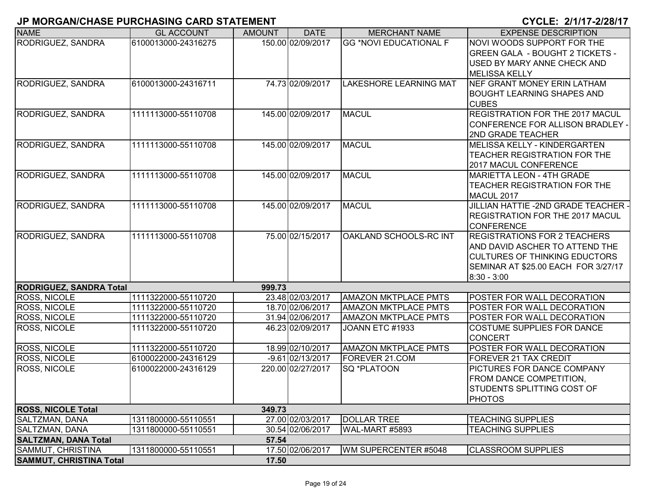| <b>NAME</b>                    | <b>GL ACCOUNT</b>   | <b>AMOUNT</b> | <b>DATE</b>        | <b>MERCHANT NAME</b>          | <b>EXPENSE DESCRIPTION</b>                           |
|--------------------------------|---------------------|---------------|--------------------|-------------------------------|------------------------------------------------------|
| RODRIGUEZ, SANDRA              | 6100013000-24316275 |               | 150.00 02/09/2017  | <b>GG *NOVI EDUCATIONAL F</b> | NOVI WOODS SUPPORT FOR THE                           |
|                                |                     |               |                    |                               | <b>GREEN GALA - BOUGHT 2 TICKETS -</b>               |
|                                |                     |               |                    |                               | USED BY MARY ANNE CHECK AND                          |
|                                |                     |               |                    |                               | <b>MELISSA KELLY</b>                                 |
| RODRIGUEZ, SANDRA              | 6100013000-24316711 |               | 74.73 02/09/2017   | <b>LAKESHORE LEARNING MAT</b> | NEF GRANT MONEY ERIN LATHAM                          |
|                                |                     |               |                    |                               | <b>BOUGHT LEARNING SHAPES AND</b>                    |
|                                |                     |               |                    |                               | <b>CUBES</b>                                         |
| <b>RODRIGUEZ, SANDRA</b>       | 1111113000-55110708 |               | 145.00 02/09/2017  | <b>MACUL</b>                  | <b>REGISTRATION FOR THE 2017 MACUL</b>               |
|                                |                     |               |                    |                               | CONFERENCE FOR ALLISON BRADLEY -                     |
|                                |                     |               |                    |                               | 2ND GRADE TEACHER                                    |
| <b>RODRIGUEZ, SANDRA</b>       | 1111113000-55110708 |               | 145.00 02/09/2017  | <b>MACUL</b>                  | MELISSA KELLY - KINDERGARTEN                         |
|                                |                     |               |                    |                               | TEACHER REGISTRATION FOR THE                         |
|                                |                     |               |                    |                               | 2017 MACUL CONFERENCE                                |
| RODRIGUEZ, SANDRA              | 1111113000-55110708 |               | 145.00 02/09/2017  | <b>MACUL</b>                  | <b>MARIETTA LEON - 4TH GRADE</b>                     |
|                                |                     |               |                    |                               | <b>TEACHER REGISTRATION FOR THE</b>                  |
|                                |                     |               |                    |                               | MACUL 2017                                           |
| <b>RODRIGUEZ, SANDRA</b>       | 1111113000-55110708 |               | 145.00 02/09/2017  | <b>MACUL</b>                  | <b>JILLIAN HATTIE -2ND GRADE TEACHER -</b>           |
|                                |                     |               |                    |                               | <b>REGISTRATION FOR THE 2017 MACUL</b>               |
|                                |                     |               |                    |                               | <b>CONFERENCE</b>                                    |
| RODRIGUEZ, SANDRA              | 1111113000-55110708 |               | 75.00 02/15/2017   | OAKLAND SCHOOLS-RC INT        | <b>REGISTRATIONS FOR 2 TEACHERS</b>                  |
|                                |                     |               |                    |                               | AND DAVID ASCHER TO ATTEND THE                       |
|                                |                     |               |                    |                               | <b>CULTURES OF THINKING EDUCTORS</b>                 |
|                                |                     |               |                    |                               | SEMINAR AT \$25.00 EACH FOR 3/27/17<br>$8:30 - 3:00$ |
| <b>RODRIGUEZ, SANDRA Total</b> |                     | 999.73        |                    |                               |                                                      |
| <b>ROSS, NICOLE</b>            | 1111322000-55110720 |               | 23.48 02/03/2017   | <b>AMAZON MKTPLACE PMTS</b>   | <b>POSTER FOR WALL DECORATION</b>                    |
| ROSS, NICOLE                   | 1111322000-55110720 |               | 18.70 02/06/2017   | <b>AMAZON MKTPLACE PMTS</b>   | POSTER FOR WALL DECORATION                           |
| ROSS, NICOLE                   | 1111322000-55110720 |               | 31.94 02/06/2017   | <b>AMAZON MKTPLACE PMTS</b>   | POSTER FOR WALL DECORATION                           |
| ROSS, NICOLE                   | 1111322000-55110720 |               | 46.23 02/09/2017   | JOANN ETC #1933               | COSTUME SUPPLIES FOR DANCE                           |
|                                |                     |               |                    |                               | <b>CONCERT</b>                                       |
| <b>ROSS, NICOLE</b>            | 1111322000-55110720 |               | 18.99 02/10/2017   | <b>AMAZON MKTPLACE PMTS</b>   | POSTER FOR WALL DECORATION                           |
| <b>ROSS, NICOLE</b>            | 6100022000-24316129 |               | $-9.61 02/13/2017$ | FOREVER 21.COM                | FOREVER 21 TAX CREDIT                                |
| <b>ROSS, NICOLE</b>            | 6100022000-24316129 |               | 220.00 02/27/2017  | SQ *PLATOON                   | PICTURES FOR DANCE COMPANY                           |
|                                |                     |               |                    |                               | <b>FROM DANCE COMPETITION,</b>                       |
|                                |                     |               |                    |                               | <b>STUDENTS SPLITTING COST OF</b>                    |
|                                |                     |               |                    |                               | PHOTOS                                               |
| <b>ROSS, NICOLE Total</b>      |                     | 349.73        |                    |                               |                                                      |
| SALTZMAN, DANA                 | 1311800000-55110551 |               | 27.00 02/03/2017   | <b>DOLLAR TREE</b>            | <b>TEACHING SUPPLIES</b>                             |
| <b>SALTZMAN, DANA</b>          | 1311800000-55110551 |               | 30.54 02/06/2017   | WAL-MART #5893                | <b>TEACHING SUPPLIES</b>                             |
| <b>SALTZMAN, DANA Total</b>    |                     | 57.54         |                    |                               |                                                      |
| SAMMUT, CHRISTINA              | 1311800000-55110551 |               | 17.50 02/06/2017   | WM SUPERCENTER #5048          | <b>CLASSROOM SUPPLIES</b>                            |
| <b>SAMMUT, CHRISTINA Total</b> |                     | 17.50         |                    |                               |                                                      |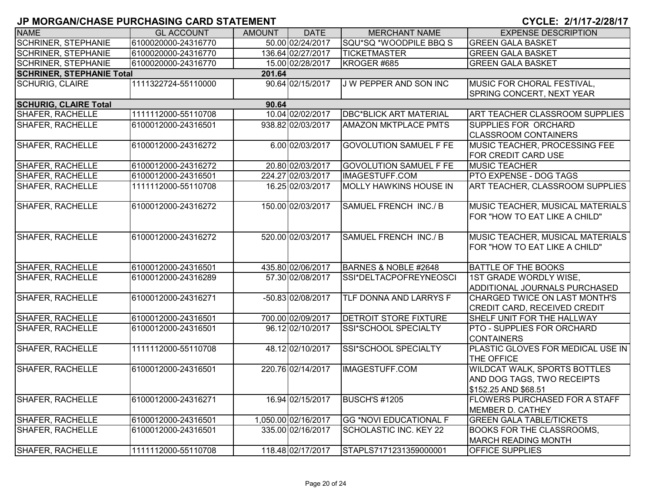| <b>CYCLE: 2/1/17-2/28/17</b> |
|------------------------------|
|------------------------------|

| <b>NAME</b>                      | <b>GL ACCOUNT</b>   | <b>AMOUNT</b> | <b>DATE</b>         | <b>MERCHANT NAME</b>          | <b>EXPENSE DESCRIPTION</b>                                                                |
|----------------------------------|---------------------|---------------|---------------------|-------------------------------|-------------------------------------------------------------------------------------------|
| <b>SCHRINER, STEPHANIE</b>       | 6100020000-24316770 |               | 50.00 02/24/2017    | SQU*SQ *WOODPILE BBQ S        | <b>GREEN GALA BASKET</b>                                                                  |
| <b>SCHRINER, STEPHANIE</b>       | 6100020000-24316770 |               | 136.64 02/27/2017   | <b>TICKETMASTER</b>           | <b>GREEN GALA BASKET</b>                                                                  |
| <b>SCHRINER, STEPHANIE</b>       | 6100020000-24316770 |               | 15.00 02/28/2017    | KROGER #685                   | <b>GREEN GALA BASKET</b>                                                                  |
| <b>SCHRINER, STEPHANIE Total</b> |                     | 201.64        |                     |                               |                                                                                           |
| <b>SCHURIG, CLAIRE</b>           | 1111322724-55110000 |               | 90.64 02/15/2017    | J W PEPPER AND SON INC        | MUSIC FOR CHORAL FESTIVAL,<br>SPRING CONCERT, NEXT YEAR                                   |
| <b>SCHURIG, CLAIRE Total</b>     |                     | 90.64         |                     |                               |                                                                                           |
| SHAFER, RACHELLE                 | 1111112000-55110708 |               | 10.04 02/02/2017    | <b>DBC*BLICK ART MATERIAL</b> | ART TEACHER CLASSROOM SUPPLIES                                                            |
| SHAFER, RACHELLE                 | 6100012000-24316501 |               | 938.82 02/03/2017   | <b>AMAZON MKTPLACE PMTS</b>   | <b>SUPPLIES FOR ORCHARD</b><br><b>CLASSROOM CONTAINERS</b>                                |
| <b>SHAFER, RACHELLE</b>          | 6100012000-24316272 |               | 6.00 02/03/2017     | <b>GOVOLUTION SAMUEL F FE</b> | MUSIC TEACHER, PROCESSING FEE<br>FOR CREDIT CARD USE                                      |
| <b>SHAFER, RACHELLE</b>          | 6100012000-24316272 |               | 20.80 02/03/2017    | <b>GOVOLUTION SAMUEL F FE</b> | <b>MUSIC TEACHER</b>                                                                      |
| SHAFER, RACHELLE                 | 6100012000-24316501 |               | 224.27 02/03/2017   | IMAGESTUFF.COM                | PTO EXPENSE - DOG TAGS                                                                    |
| SHAFER, RACHELLE                 | 1111112000-55110708 |               | 16.25 02/03/2017    | <b>MOLLY HAWKINS HOUSE IN</b> | <b>ART TEACHER, CLASSROOM SUPPLIES</b>                                                    |
| <b>SHAFER, RACHELLE</b>          | 6100012000-24316272 |               | 150.00 02/03/2017   | <b>SAMUEL FRENCH INC./B</b>   | MUSIC TEACHER, MUSICAL MATERIALS<br>FOR "HOW TO EAT LIKE A CHILD"                         |
| <b>SHAFER, RACHELLE</b>          | 6100012000-24316272 |               | 520.00 02/03/2017   | <b>SAMUEL FRENCH INC./B</b>   | MUSIC TEACHER, MUSICAL MATERIALS<br>FOR "HOW TO EAT LIKE A CHILD"                         |
| <b>SHAFER, RACHELLE</b>          | 6100012000-24316501 |               | 435.80 02/06/2017   | BARNES & NOBLE #2648          | <b>BATTLE OF THE BOOKS</b>                                                                |
| SHAFER, RACHELLE                 | 6100012000-24316289 |               | 57.30 02/08/2017    | SSI*DELTACPOFREYNEOSCI        | 1ST GRADE WORDLY WISE,<br>ADDITIONAL JOURNALS PURCHASED                                   |
| SHAFER, RACHELLE                 | 6100012000-24316271 |               | -50.83 02/08/2017   | TLF DONNA AND LARRYS F        | <b>CHARGED TWICE ON LAST MONTH'S</b><br>CREDIT CARD, RECEIVED CREDIT                      |
| <b>SHAFER, RACHELLE</b>          | 6100012000-24316501 |               | 700.00 02/09/2017   | <b>DETROIT STORE FIXTURE</b>  | SHELF UNIT FOR THE HALLWAY                                                                |
| <b>SHAFER, RACHELLE</b>          | 6100012000-24316501 |               | 96.12 02/10/2017    | SSI*SCHOOL SPECIALTY          | PTO - SUPPLIES FOR ORCHARD<br><b>CONTAINERS</b>                                           |
| <b>SHAFER, RACHELLE</b>          | 1111112000-55110708 |               | 48.12 02/10/2017    | <b>SSI*SCHOOL SPECIALTY</b>   | PLASTIC GLOVES FOR MEDICAL USE IN<br>THE OFFICE                                           |
| <b>SHAFER, RACHELLE</b>          | 6100012000-24316501 |               | 220.76 02/14/2017   | <b>IMAGESTUFF.COM</b>         | <b>WILDCAT WALK, SPORTS BOTTLES</b><br>AND DOG TAGS, TWO RECEIPTS<br>\$152.25 AND \$68.51 |
| <b>SHAFER, RACHELLE</b>          | 6100012000-24316271 |               | 16.94 02/15/2017    | BUSCH'S #1205                 | FLOWERS PURCHASED FOR A STAFF<br><b>MEMBER D. CATHEY</b>                                  |
| SHAFER, RACHELLE                 | 6100012000-24316501 |               | 1,050.00 02/16/2017 | <b>GG *NOVI EDUCATIONAL F</b> | <b>GREEN GALA TABLE/TICKETS</b>                                                           |
| <b>SHAFER, RACHELLE</b>          | 6100012000-24316501 |               | 335.00 02/16/2017   | SCHOLASTIC INC. KEY 22        | <b>BOOKS FOR THE CLASSROOMS,</b><br><b>MARCH READING MONTH</b>                            |
| SHAFER, RACHELLE                 | 1111112000-55110708 |               | 118.48 02/17/2017   | STAPLS7171231359000001        | <b>OFFICE SUPPLIES</b>                                                                    |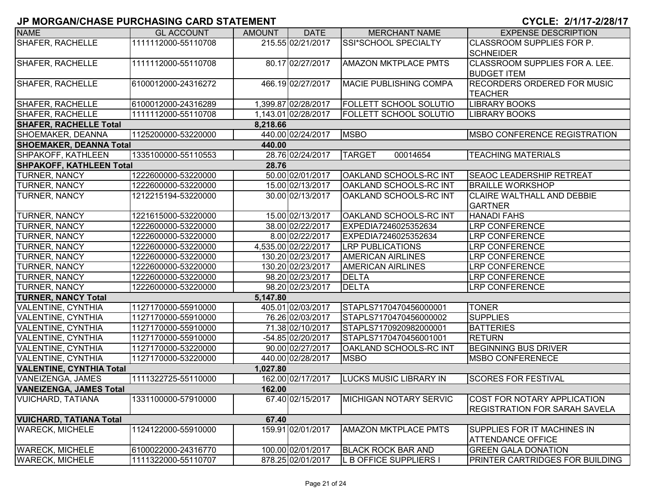| <b>NAME</b>                               | <b>GL ACCOUNT</b>   | <b>AMOUNT</b> | <b>DATE</b>         | <b>MERCHANT NAME</b>          | <b>EXPENSE DESCRIPTION</b>                                          |  |  |  |
|-------------------------------------------|---------------------|---------------|---------------------|-------------------------------|---------------------------------------------------------------------|--|--|--|
| <b>SHAFER, RACHELLE</b>                   | 1111112000-55110708 |               | 215.55 02/21/2017   | SSI*SCHOOL SPECIALTY          | CLASSROOM SUPPLIES FOR P.<br><b>SCHNEIDER</b>                       |  |  |  |
| <b>SHAFER, RACHELLE</b>                   | 1111112000-55110708 |               | 80.17 02/27/2017    | <b>AMAZON MKTPLACE PMTS</b>   | CLASSROOM SUPPLIES FOR A. LEE.<br><b>BUDGET ITEM</b>                |  |  |  |
| <b>SHAFER, RACHELLE</b>                   | 6100012000-24316272 |               | 466.19 02/27/2017   | MACIE PUBLISHING COMPA        | <b>RECORDERS ORDERED FOR MUSIC</b><br><b>TEACHER</b>                |  |  |  |
| SHAFER, RACHELLE                          | 6100012000-24316289 |               | 1,399.87 02/28/2017 | <b>FOLLETT SCHOOL SOLUTIO</b> | <b>LIBRARY BOOKS</b>                                                |  |  |  |
| <b>SHAFER, RACHELLE</b>                   | 1111112000-55110708 |               | 1,143.01 02/28/2017 | <b>FOLLETT SCHOOL SOLUTIO</b> | <b>LIBRARY BOOKS</b>                                                |  |  |  |
| <b>SHAFER, RACHELLE Total</b><br>8,218.66 |                     |               |                     |                               |                                                                     |  |  |  |
| <b>SHOEMAKER, DEANNA</b>                  | 1125200000-53220000 |               | 440.00 02/24/2017   | <b>MSBO</b>                   | <b>IMSBO CONFERENCE REGISTRATION</b>                                |  |  |  |
| <b>SHOEMAKER, DEANNA Total</b>            |                     | 440.00        |                     |                               |                                                                     |  |  |  |
| SHPAKOFF, KATHLEEN                        | 1335100000-55110553 |               | 28.76 02/24/2017    | <b>TARGET</b><br>00014654     | <b>TEACHING MATERIALS</b>                                           |  |  |  |
| <b>SHPAKOFF, KATHLEEN Total</b>           |                     | 28.76         |                     |                               |                                                                     |  |  |  |
| <b>TURNER, NANCY</b>                      | 1222600000-53220000 |               | 50.00 02/01/2017    | OAKLAND SCHOOLS-RC INT        | <b>SEAOC LEADERSHIP RETREAT</b>                                     |  |  |  |
| <b>TURNER, NANCY</b>                      | 1222600000-53220000 |               | 15.00 02/13/2017    | <b>OAKLAND SCHOOLS-RC INT</b> | <b>BRAILLE WORKSHOP</b>                                             |  |  |  |
| <b>TURNER, NANCY</b>                      | 1212215194-53220000 |               | 30.00 02/13/2017    | <b>OAKLAND SCHOOLS-RC INT</b> | <b>CLAIRE WALTHALL AND DEBBIE</b><br><b>GARTNER</b>                 |  |  |  |
| <b>TURNER, NANCY</b>                      | 1221615000-53220000 |               | 15.00 02/13/2017    | <b>OAKLAND SCHOOLS-RC INT</b> | <b>HANADI FAHS</b>                                                  |  |  |  |
| <b>TURNER, NANCY</b>                      | 1222600000-53220000 |               | 38.00 02/22/2017    | EXPEDIA7246025352634          | <b>LRP CONFERENCE</b>                                               |  |  |  |
| <b>TURNER, NANCY</b>                      | 1222600000-53220000 |               | 8.00 02/22/2017     | EXPEDIA7246025352634          | <b>LRP CONFERENCE</b>                                               |  |  |  |
| <b>TURNER, NANCY</b>                      | 1222600000-53220000 |               | 4,535.00 02/22/2017 | <b>LRP PUBLICATIONS</b>       | <b>LRP CONFERENCE</b>                                               |  |  |  |
| <b>TURNER, NANCY</b>                      | 1222600000-53220000 |               | 130.20 02/23/2017   | <b>AMERICAN AIRLINES</b>      | <b>LRP CONFERENCE</b>                                               |  |  |  |
| <b>TURNER, NANCY</b>                      | 1222600000-53220000 |               | 130.20 02/23/2017   | <b>AMERICAN AIRLINES</b>      | <b>LRP CONFERENCE</b>                                               |  |  |  |
| <b>TURNER, NANCY</b>                      | 1222600000-53220000 |               | 98.20 02/23/2017    | <b>DELTA</b>                  | <b>LRP CONFERENCE</b>                                               |  |  |  |
| <b>TURNER, NANCY</b>                      | 1222600000-53220000 |               | 98.20 02/23/2017    | <b>DELTA</b>                  | <b>LRP CONFERENCE</b>                                               |  |  |  |
| <b>TURNER, NANCY Total</b>                |                     | 5,147.80      |                     |                               |                                                                     |  |  |  |
| <b>VALENTINE, CYNTHIA</b>                 | 1127170000-55910000 |               | 405.01 02/03/2017   | STAPLS7170470456000001        | <b>TONER</b>                                                        |  |  |  |
| <b>VALENTINE, CYNTHIA</b>                 | 1127170000-55910000 |               | 76.26 02/03/2017    | STAPLS7170470456000002        | <b>SUPPLIES</b>                                                     |  |  |  |
| <b>VALENTINE, CYNTHIA</b>                 | 1127170000-55910000 |               | 71.38 02/10/2017    | STAPLS7170920982000001        | <b>BATTERIES</b>                                                    |  |  |  |
| <b>VALENTINE, CYNTHIA</b>                 | 1127170000-55910000 |               | -54.85 02/20/2017   | STAPLS7170470456001001        | <b>RETURN</b>                                                       |  |  |  |
| <b>VALENTINE, CYNTHIA</b>                 | 1127170000-53220000 |               | 90.00 02/27/2017    | <b>OAKLAND SCHOOLS-RC INT</b> | <b>BEGINNING BUS DRIVER</b>                                         |  |  |  |
| <b>VALENTINE, CYNTHIA</b>                 | 1127170000-53220000 |               | 440.00 02/28/2017   | <b>MSBO</b>                   | <b>MSBO CONFERENECE</b>                                             |  |  |  |
| <b>VALENTINE, CYNTHIA Total</b>           |                     | 1,027.80      |                     |                               |                                                                     |  |  |  |
| VANEIZENGA, JAMES                         | 1111322725-55110000 |               | 162.00 02/17/2017   | <b>LUCKS MUSIC LIBRARY IN</b> | <b>SCORES FOR FESTIVAL</b>                                          |  |  |  |
| <b>VANEIZENGA, JAMES Total</b>            |                     | 162.00        |                     |                               |                                                                     |  |  |  |
| <b>VUICHARD, TATIANA</b>                  | 1331100000-57910000 |               | 67.40 02/15/2017    | <b>MICHIGAN NOTARY SERVIC</b> | COST FOR NOTARY APPLICATION<br><b>REGISTRATION FOR SARAH SAVELA</b> |  |  |  |
| <b>VUICHARD, TATIANA Total</b>            |                     | 67.40         |                     |                               |                                                                     |  |  |  |
| <b>WARECK, MICHELE</b>                    | 1124122000-55910000 |               | 159.91 02/01/2017   | <b>AMAZON MKTPLACE PMTS</b>   | SUPPLIES FOR IT MACHINES IN<br><b>ATTENDANCE OFFICE</b>             |  |  |  |
| <b>WARECK, MICHELE</b>                    | 6100022000-24316770 |               | 100.00 02/01/2017   | <b>BLACK ROCK BAR AND</b>     | <b>GREEN GALA DONATION</b>                                          |  |  |  |
| <b>WARECK, MICHELE</b>                    | 1111322000-55110707 |               | 878.25 02/01/2017   | L B OFFICE SUPPLIERS I        | <b>PRINTER CARTRIDGES FOR BUILDING</b>                              |  |  |  |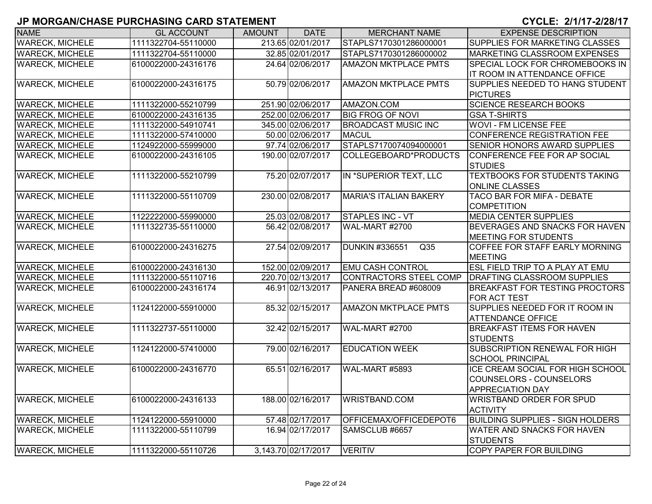| <b>NAME</b>            | <b>GL ACCOUNT</b>   | <b>AMOUNT</b> | <b>DATE</b>         | <b>MERCHANT NAME</b>                      | <b>EXPENSE DESCRIPTION</b>                                                                    |
|------------------------|---------------------|---------------|---------------------|-------------------------------------------|-----------------------------------------------------------------------------------------------|
| <b>WARECK, MICHELE</b> | 1111322704-55110000 |               | 213.65 02/01/2017   | STAPLS7170301286000001                    | SUPPLIES FOR MARKETING CLASSES                                                                |
| <b>WARECK, MICHELE</b> | 1111322704-55110000 |               | 32.85 02/01/2017    | STAPLS7170301286000002                    | MARKETING CLASSROOM EXPENSES                                                                  |
| <b>WARECK, MICHELE</b> | 6100022000-24316176 |               | 24.64 02/06/2017    | <b>AMAZON MKTPLACE PMTS</b>               | <b>SPECIAL LOCK FOR CHROMEBOOKS IN</b><br>IT ROOM IN ATTENDANCE OFFICE                        |
| <b>WARECK, MICHELE</b> | 6100022000-24316175 |               | 50.79 02/06/2017    | <b>AMAZON MKTPLACE PMTS</b>               | SUPPLIES NEEDED TO HANG STUDENT<br><b>PICTURES</b>                                            |
| <b>WARECK, MICHELE</b> | 1111322000-55210799 |               | 251.90 02/06/2017   | AMAZON.COM                                | <b>SCIENCE RESEARCH BOOKS</b>                                                                 |
| <b>WARECK, MICHELE</b> | 6100022000-24316135 |               | 252.00 02/06/2017   | <b>BIG FROG OF NOVI</b>                   | <b>GSA T-SHIRTS</b>                                                                           |
| <b>WARECK, MICHELE</b> | 1111322000-54910741 |               | 345.00 02/06/2017   | <b>BROADCAST MUSIC INC</b>                | <b>WOVI - FM LICENSE FEE</b>                                                                  |
| <b>WARECK, MICHELE</b> | 1111322000-57410000 |               | 50.00 02/06/2017    | <b>MACUL</b>                              | CONFERENCE REGISTRATION FEE                                                                   |
| <b>WARECK, MICHELE</b> | 1124922000-55999000 |               | 97.74 02/06/2017    | STAPLS7170074094000001                    | SENIOR HONORS AWARD SUPPLIES                                                                  |
| <b>WARECK, MICHELE</b> | 6100022000-24316105 |               | 190.00 02/07/2017   | COLLEGEBOARD*PRODUCTS                     | CONFERENCE FEE FOR AP SOCIAL<br><b>STUDIES</b>                                                |
| <b>WARECK, MICHELE</b> | 1111322000-55210799 |               | 75.20 02/07/2017    | IN *SUPERIOR TEXT, LLC                    | <b>TEXTBOOKS FOR STUDENTS TAKING</b><br><b>ONLINE CLASSES</b>                                 |
| <b>WARECK, MICHELE</b> | 1111322000-55110709 |               | 230.00 02/08/2017   | <b>MARIA'S ITALIAN BAKERY</b>             | <b>TACO BAR FOR MIFA - DEBATE</b><br><b>COMPETITION</b>                                       |
| <b>WARECK, MICHELE</b> | 1122222000-55990000 |               | 25.03 02/08/2017    | <b>STAPLES INC - VT</b>                   | <b>MEDIA CENTER SUPPLIES</b>                                                                  |
| <b>WARECK, MICHELE</b> | 1111322735-55110000 |               | 56.42 02/08/2017    | <b>WAL-MART #2700</b>                     | BEVERAGES AND SNACKS FOR HAVEN<br>MEETING FOR STUDENTS                                        |
| <b>WARECK, MICHELE</b> | 6100022000-24316275 |               | 27.54 02/09/2017    | <b>DUNKIN #336551</b><br>$\overline{Q35}$ | COFFEE FOR STAFF EARLY MORNING<br><b>MEETING</b>                                              |
| <b>WARECK, MICHELE</b> | 6100022000-24316130 |               | 152.00 02/09/2017   | <b>EMU CASH CONTROL</b>                   | <b>ESL FIELD TRIP TO A PLAY AT EMU</b>                                                        |
| <b>WARECK, MICHELE</b> | 1111322000-55110716 |               | 220.70 02/13/2017   | <b>CONTRACTORS STEEL COMP</b>             | <b>DRAFTING CLASSROOM SUPPLIES</b>                                                            |
| <b>WARECK, MICHELE</b> | 6100022000-24316174 |               | 46.91 02/13/2017    | PANERA BREAD #608009                      | <b>BREAKFAST FOR TESTING PROCTORS</b><br><b>FOR ACT TEST</b>                                  |
| <b>WARECK, MICHELE</b> | 1124122000-55910000 |               | 85.32 02/15/2017    | <b>AMAZON MKTPLACE PMTS</b>               | SUPPLIES NEEDED FOR IT ROOM IN<br><b>ATTENDANCE OFFICE</b>                                    |
| <b>WARECK, MICHELE</b> | 1111322737-55110000 |               | 32.42 02/15/2017    | WAL-MART #2700                            | <b>BREAKFAST ITEMS FOR HAVEN</b><br><b>STUDENTS</b>                                           |
| <b>WARECK, MICHELE</b> | 1124122000-57410000 |               | 79.00 02/16/2017    | <b>EDUCATION WEEK</b>                     | SUBSCRIPTION RENEWAL FOR HIGH<br><b>SCHOOL PRINCIPAL</b>                                      |
| <b>WARECK, MICHELE</b> | 6100022000-24316770 |               | 65.51 02/16/2017    | WAL-MART #5893                            | ICE CREAM SOCIAL FOR HIGH SCHOOL<br><b>COUNSELORS - COUNSELORS</b><br><b>APPRECIATION DAY</b> |
| <b>WARECK, MICHELE</b> | 6100022000-24316133 |               | 188.00 02/16/2017   | <b>WRISTBAND.COM</b>                      | <b>WRISTBAND ORDER FOR SPUD</b><br><b>ACTIVITY</b>                                            |
| <b>WARECK, MICHELE</b> | 1124122000-55910000 |               | 57.48 02/17/2017    | OFFICEMAX/OFFICEDEPOT6                    | <b>BUILDING SUPPLIES - SIGN HOLDERS</b>                                                       |
| <b>WARECK, MICHELE</b> | 1111322000-55110799 |               | 16.94 02/17/2017    | SAMSCLUB #6657                            | <b>WATER AND SNACKS FOR HAVEN</b><br><b>STUDENTS</b>                                          |
| <b>WARECK, MICHELE</b> | 1111322000-55110726 |               | 3,143.70 02/17/2017 | <b>VERITIV</b>                            | <b>COPY PAPER FOR BUILDING</b>                                                                |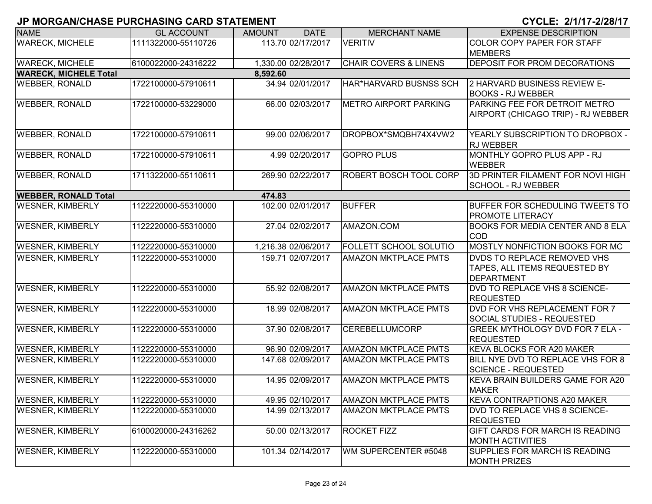| <b>NAME</b>                  | <b>GL ACCOUNT</b>   | <b>AMOUNT</b> | <b>DATE</b>         | <b>MERCHANT NAME</b>             | <b>EXPENSE DESCRIPTION</b>                                                 |
|------------------------------|---------------------|---------------|---------------------|----------------------------------|----------------------------------------------------------------------------|
| <b>WARECK, MICHELE</b>       | 1111322000-55110726 |               | 113.70 02/17/2017   | <b>VERITIV</b>                   | COLOR COPY PAPER FOR STAFF                                                 |
|                              |                     |               |                     |                                  | <b>MEMBERS</b>                                                             |
| <b>WARECK, MICHELE</b>       | 6100022000-24316222 |               | 1,330.00 02/28/2017 | <b>CHAIR COVERS &amp; LINENS</b> | <b>DEPOSIT FOR PROM DECORATIONS</b>                                        |
| <b>WARECK, MICHELE Total</b> |                     | 8,592.60      |                     |                                  |                                                                            |
| <b>WEBBER, RONALD</b>        | 1722100000-57910611 |               | 34.94 02/01/2017    | HAR*HARVARD BUSNSS SCH           | 2 HARVARD BUSINESS REVIEW E-                                               |
|                              |                     |               |                     |                                  | <b>BOOKS - RJ WEBBER</b>                                                   |
| <b>WEBBER, RONALD</b>        | 1722100000-53229000 |               | 66.00 02/03/2017    | <b>METRO AIRPORT PARKING</b>     | <b>PARKING FEE FOR DETROIT METRO</b><br>AIRPORT (CHICAGO TRIP) - RJ WEBBER |
| <b>WEBBER, RONALD</b>        |                     |               |                     | DROPBOX*SMQBH74X4VW2             |                                                                            |
|                              | 1722100000-57910611 |               | 99.00 02/06/2017    |                                  | YEARLY SUBSCRIPTION TO DROPBOX -<br><b>RJ WEBBER</b>                       |
| <b>WEBBER, RONALD</b>        | 1722100000-57910611 |               | 4.99 02/20/2017     | <b>GOPRO PLUS</b>                | MONTHLY GOPRO PLUS APP - RJ                                                |
|                              |                     |               |                     |                                  | <b>WEBBER</b>                                                              |
| <b>WEBBER, RONALD</b>        | 1711322000-55110611 |               | 269.90 02/22/2017   | ROBERT BOSCH TOOL CORP           | 3D PRINTER FILAMENT FOR NOVI HIGH<br>SCHOOL - RJ WEBBER                    |
| <b>WEBBER, RONALD Total</b>  |                     | 474.83        |                     |                                  |                                                                            |
| <b>WESNER, KIMBERLY</b>      | 1122220000-55310000 |               | 102.00 02/01/2017   | <b>BUFFER</b>                    | <b>BUFFER FOR SCHEDULING TWEETS TO</b><br><b>PROMOTE LITERACY</b>          |
| <b>WESNER, KIMBERLY</b>      | 1122220000-55310000 |               | 27.04 02/02/2017    | AMAZON.COM                       | <b>BOOKS FOR MEDIA CENTER AND 8 ELA</b><br><b>COD</b>                      |
| <b>WESNER, KIMBERLY</b>      | 1122220000-55310000 |               | 1,216.38 02/06/2017 | <b>FOLLETT SCHOOL SOLUTIO</b>    | MOSTLY NONFICTION BOOKS FOR MC                                             |
| <b>WESNER, KIMBERLY</b>      | 1122220000-55310000 |               | 159.71 02/07/2017   | <b>AMAZON MKTPLACE PMTS</b>      | DVDS TO REPLACE REMOVED VHS                                                |
|                              |                     |               |                     |                                  | TAPES, ALL ITEMS REQUESTED BY<br><b>DEPARTMENT</b>                         |
| <b>WESNER, KIMBERLY</b>      | 1122220000-55310000 |               | 55.92 02/08/2017    | <b>AMAZON MKTPLACE PMTS</b>      | DVD TO REPLACE VHS 8 SCIENCE-                                              |
|                              |                     |               |                     |                                  | <b>REQUESTED</b>                                                           |
| <b>WESNER, KIMBERLY</b>      | 1122220000-55310000 |               | 18.99 02/08/2017    | <b>AMAZON MKTPLACE PMTS</b>      | DVD FOR VHS REPLACEMENT FOR 7<br>SOCIAL STUDIES - REQUESTED                |
| <b>WESNER, KIMBERLY</b>      | 1122220000-55310000 |               | 37.90 02/08/2017    | CEREBELLUMCORP                   | <b>GREEK MYTHOLOGY DVD FOR 7 ELA -</b>                                     |
|                              |                     |               |                     |                                  | <b>REQUESTED</b>                                                           |
| <b>WESNER, KIMBERLY</b>      | 1122220000-55310000 |               | 96.90 02/09/2017    | <b>AMAZON MKTPLACE PMTS</b>      | KEVA BLOCKS FOR A20 MAKER                                                  |
| <b>WESNER, KIMBERLY</b>      | 1122220000-55310000 |               | 147.68 02/09/2017   | <b>AMAZON MKTPLACE PMTS</b>      | BILL NYE DVD TO REPLACE VHS FOR 8<br>SCIENCE - REQUESTED                   |
| <b>WESNER, KIMBERLY</b>      | 1122220000-55310000 |               | 14.95 02/09/2017    | <b>AMAZON MKTPLACE PMTS</b>      | KEVA BRAIN BUILDERS GAME FOR A20                                           |
|                              |                     |               |                     |                                  | <b>MAKER</b>                                                               |
| <b>WESNER, KIMBERLY</b>      | 1122220000-55310000 |               | 49.95 02/10/2017    | <b>AMAZON MKTPLACE PMTS</b>      | KEVA CONTRAPTIONS A20 MAKER                                                |
| <b>WESNER, KIMBERLY</b>      | 1122220000-55310000 |               | 14.99 02/13/2017    | <b>AMAZON MKTPLACE PMTS</b>      | <b>DVD TO REPLACE VHS 8 SCIENCE-</b>                                       |
|                              |                     |               |                     |                                  | <b>REQUESTED</b>                                                           |
| <b>WESNER, KIMBERLY</b>      | 6100020000-24316262 |               | 50.00 02/13/2017    | <b>ROCKET FIZZ</b>               | GIFT CARDS FOR MARCH IS READING<br><b>MONTH ACTIVITIES</b>                 |
| <b>WESNER, KIMBERLY</b>      | 1122220000-55310000 |               | 101.34 02/14/2017   | WM SUPERCENTER #5048             | SUPPLIES FOR MARCH IS READING                                              |
|                              |                     |               |                     |                                  | <b>MONTH PRIZES</b>                                                        |